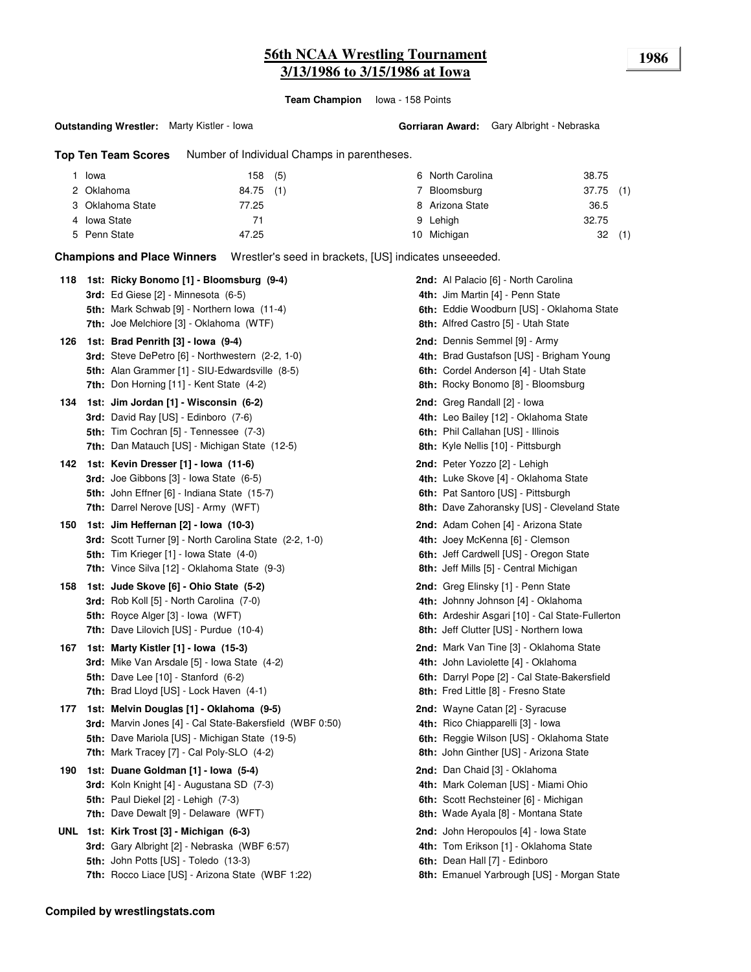# **56th NCAA Wrestling Tournament 1986 3/13/1986 to 3/15/1986 at Iowa**

**Team Champion** Iowa - 158 Points

**Gorriaran Award:** Gary Albright - Nebraska

**Top Ten Team Scores** Number of Individual Champs in parentheses.

| Iowa             | 158 (5)   | 6 North Carolina | 38.75       |     |
|------------------|-----------|------------------|-------------|-----|
| 2 Oklahoma       | 84.75 (1) | Bloomsburg       | $37.75$ (1) |     |
| 3 Oklahoma State | 77.25     | 8 Arizona State  | 36.5        |     |
| 4 Iowa State     | 71        | 9 Lehigh         | 32.75       |     |
| 5 Penn State     | 47.25     | 10 Michigan      | 32          | (1) |

**Champions and Place Winners** Wrestler's seed in brackets, [US] indicates unseeeded.

| 118 | 1st: Ricky Bonomo [1] - Bloomsburg (9-4)<br>3rd: Ed Giese [2] - Minnesota (6-5)<br>5th: Mark Schwab [9] - Northern Iowa (11-4)<br>7th: Joe Melchiore [3] - Oklahoma (WTF)                                  | 2nd: Al Palacio [6] - North Carolina<br>4th: Jim Martin [4] - Penn State<br>6th: Eddie Woodburn [US] - Oklahoma State<br>8th: Alfred Castro [5] - Utah State          |
|-----|------------------------------------------------------------------------------------------------------------------------------------------------------------------------------------------------------------|-----------------------------------------------------------------------------------------------------------------------------------------------------------------------|
| 126 | 1st: Brad Penrith [3] - Iowa (9-4)<br>3rd: Steve DePetro [6] - Northwestern (2-2, 1-0)<br>5th: Alan Grammer [1] - SIU-Edwardsville (8-5)<br>7th: Don Horning [11] - Kent State (4-2)                       | 2nd: Dennis Semmel [9] - Army<br>4th: Brad Gustafson [US] - Brigham Young<br>6th: Cordel Anderson [4] - Utah State<br>8th: Rocky Bonomo [8] - Bloomsburg              |
| 134 | 1st: Jim Jordan [1] - Wisconsin (6-2)<br>3rd: David Ray [US] - Edinboro (7-6)<br><b>5th:</b> Tim Cochran [5] - Tennessee (7-3)<br>7th: Dan Matauch [US] - Michigan State (12-5)                            | <b>2nd:</b> Greg Randall [2] - Iowa<br>4th: Leo Bailey [12] - Oklahoma State<br>6th: Phil Callahan [US] - Illinois<br>8th: Kyle Nellis [10] - Pittsburgh              |
| 142 | 1st: Kevin Dresser [1] - Iowa (11-6)<br>3rd: Joe Gibbons [3] - Iowa State (6-5)<br>5th: John Effner [6] - Indiana State (15-7)<br>7th: Darrel Nerove [US] - Army (WFT)                                     | 2nd: Peter Yozzo [2] - Lehigh<br>4th: Luke Skove [4] - Oklahoma State<br>6th: Pat Santoro [US] - Pittsburgh<br>8th: Dave Zahoransky [US] - Cleveland State            |
| 150 | 1st: Jim Heffernan [2] - Iowa (10-3)<br>3rd: Scott Turner [9] - North Carolina State (2-2, 1-0)<br>5th: Tim Krieger [1] - Iowa State (4-0)<br>7th: Vince Silva [12] - Oklahoma State (9-3)                 | 2nd: Adam Cohen [4] - Arizona State<br>4th: Joey McKenna [6] - Clemson<br>6th: Jeff Cardwell [US] - Oregon State<br>8th: Jeff Mills [5] - Central Michigan            |
| 158 | 1st: Jude Skove [6] - Ohio State (5-2)<br><b>3rd:</b> Rob Koll [5] - North Carolina (7-0)<br>5th: Royce Alger [3] - Iowa (WFT)<br>7th: Dave Lilovich [US] - Purdue (10-4)                                  | 2nd: Greg Elinsky [1] - Penn State<br>4th: Johnny Johnson [4] - Oklahoma<br>6th: Ardeshir Asgari [10] - Cal State-Fullerton<br>8th: Jeff Clutter [US] - Northern Iowa |
| 167 | 1st: Marty Kistler [1] - Iowa (15-3)<br><b>3rd:</b> Mike Van Arsdale [5] - Iowa State (4-2)<br><b>5th:</b> Dave Lee [10] - Stanford (6-2)<br>7th: Brad Lloyd [US] - Lock Haven (4-1)                       | 2nd: Mark Van Tine [3] - Oklahoma State<br>4th: John Laviolette [4] - Oklahoma<br>6th: Darryl Pope [2] - Cal State-Bakersfield<br>8th: Fred Little [8] - Fresno State |
| 177 | 1st: Melvin Douglas [1] - Oklahoma (9-5)<br>3rd: Marvin Jones [4] - Cal State-Bakersfield (WBF 0:50)<br>5th: Dave Mariola [US] - Michigan State (19-5)<br><b>7th:</b> Mark Tracey [7] - Cal Poly-SLO (4-2) | <b>2nd:</b> Wayne Catan [2] - Syracuse<br>4th: Rico Chiapparelli [3] - Iowa<br>6th: Reggie Wilson [US] - Oklahoma State<br>8th: John Ginther [US] - Arizona State     |
| 190 | 1st: Duane Goldman [1] - Iowa (5-4)<br>3rd: Koln Knight [4] - Augustana SD (7-3)<br>5th: Paul Diekel [2] - Lehigh (7-3)<br><b>7th:</b> Dave Dewalt [9] - Delaware (WFT)                                    | 2nd: Dan Chaid [3] - Oklahoma<br>4th: Mark Coleman [US] - Miami Ohio<br>6th: Scott Rechsteiner [6] - Michigan<br>8th: Wade Ayala [8] - Montana State                  |
|     | UNL 1st: Kirk Trost [3] - Michigan (6-3)<br>3rd: Gary Albright [2] - Nebraska (WBF 6:57)<br>5th: John Potts [US] - Toledo (13-3)<br>7th: Rocco Liace [US] - Arizona State (WBF 1:22)                       | <b>2nd:</b> John Heropoulos [4] - Iowa State<br>4th: Tom Erikson [1] - Oklahoma State<br>6th: Dean Hall [7] - Edinboro<br>8th: Emanuel Yarbrough [US] - Morgan State  |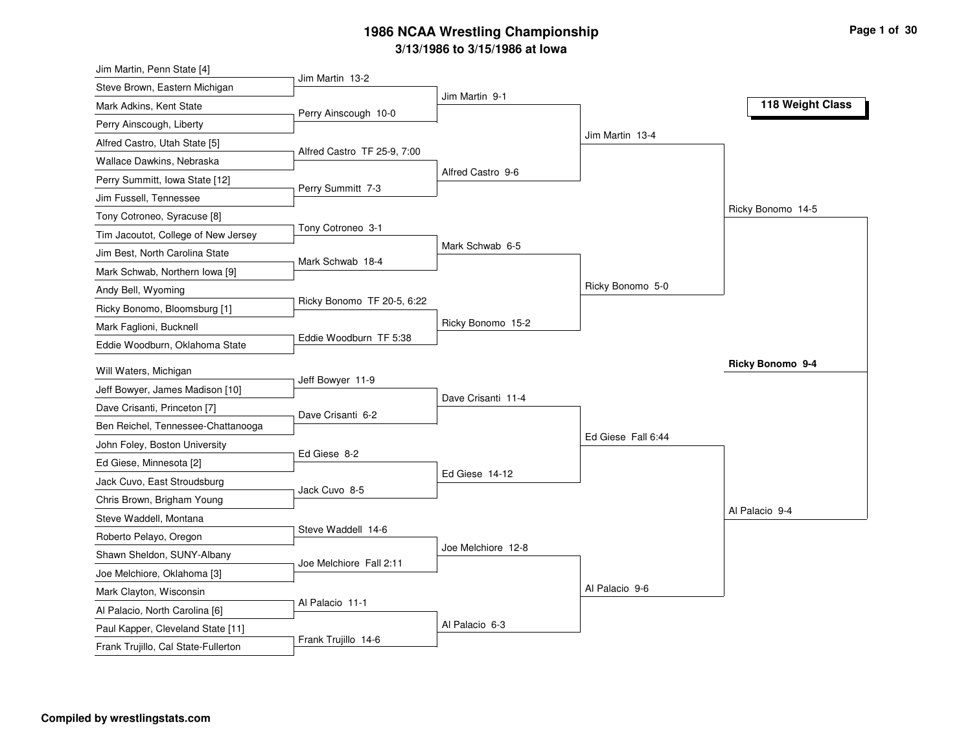| Jim Martin, Penn State [4]          |                             |                    |                    |                   |
|-------------------------------------|-----------------------------|--------------------|--------------------|-------------------|
| Steve Brown, Eastern Michigan       | Jim Martin 13-2             |                    |                    |                   |
| Mark Adkins, Kent State             | Perry Ainscough 10-0        | Jim Martin 9-1     |                    | 118 Weight Class  |
| Perry Ainscough, Liberty            |                             |                    |                    |                   |
| Alfred Castro, Utah State [5]       |                             |                    | Jim Martin 13-4    |                   |
| Wallace Dawkins, Nebraska           | Alfred Castro TF 25-9, 7:00 |                    |                    |                   |
| Perry Summitt, Iowa State [12]      |                             | Alfred Castro 9-6  |                    |                   |
| Jim Fussell, Tennessee              | Perry Summitt 7-3           |                    |                    |                   |
| Tony Cotroneo, Syracuse [8]         |                             |                    |                    | Ricky Bonomo 14-5 |
| Tim Jacoutot, College of New Jersey | Tony Cotroneo 3-1           |                    |                    |                   |
| Jim Best, North Carolina State      |                             | Mark Schwab 6-5    |                    |                   |
| Mark Schwab, Northern Iowa [9]      | Mark Schwab 18-4            |                    |                    |                   |
| Andy Bell, Wyoming                  |                             |                    | Ricky Bonomo 5-0   |                   |
| Ricky Bonomo, Bloomsburg [1]        | Ricky Bonomo TF 20-5, 6:22  |                    |                    |                   |
| Mark Faglioni, Bucknell             |                             | Ricky Bonomo 15-2  |                    |                   |
| Eddie Woodburn, Oklahoma State      | Eddie Woodburn TF 5:38      |                    |                    |                   |
| Will Waters, Michigan               |                             |                    |                    | Ricky Bonomo 9-4  |
| Jeff Bowyer, James Madison [10]     | Jeff Bowyer 11-9            |                    |                    |                   |
| Dave Crisanti, Princeton [7]        |                             | Dave Crisanti 11-4 |                    |                   |
| Ben Reichel, Tennessee-Chattanooga  | Dave Crisanti 6-2           |                    |                    |                   |
| John Foley, Boston University       |                             |                    | Ed Giese Fall 6:44 |                   |
| Ed Giese, Minnesota [2]             | Ed Giese 8-2                |                    |                    |                   |
| Jack Cuvo, East Stroudsburg         |                             | Ed Giese 14-12     |                    |                   |
| Chris Brown, Brigham Young          | Jack Cuvo 8-5               |                    |                    |                   |
| Steve Waddell, Montana              |                             |                    |                    | Al Palacio 9-4    |
| Roberto Pelayo, Oregon              | Steve Waddell 14-6          |                    |                    |                   |
| Shawn Sheldon, SUNY-Albany          |                             | Joe Melchiore 12-8 |                    |                   |
| Joe Melchiore, Oklahoma [3]         | Joe Melchiore Fall 2:11     |                    |                    |                   |
| Mark Clayton, Wisconsin             |                             |                    | Al Palacio 9-6     |                   |
| Al Palacio, North Carolina [6]      | Al Palacio 11-1             |                    |                    |                   |
| Paul Kapper, Cleveland State [11]   |                             | Al Palacio 6-3     |                    |                   |
| Frank Trujillo, Cal State-Fullerton | Frank Trujillo 14-6         |                    |                    |                   |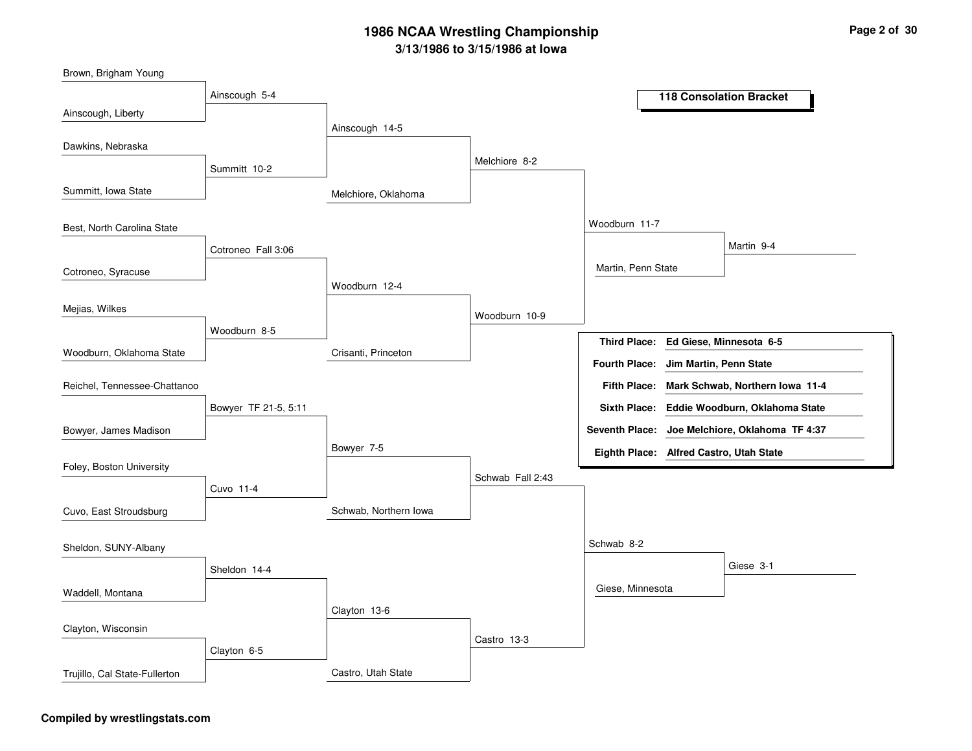Melchiore, OklahomaCrisanti, PrincetonSchwab, Northern IowaCastro, Utah StateAinscough 14-5Woodburn 12-4Bowyer 7-5Clayton 13-6Melchiore 8-2Woodburn 10-9Schwab Fall 2:43Castro 13-3Woodburn 11-7Schwab 8-2Martin, Penn StateGiese, MinnesotaMartin 9-4Giese 3-1Ainscough 5-4Summitt 10-2Cotroneo Fall 3:06Woodburn 8-5Bowyer TF 21-5, 5:11Cuvo 11-4Sheldon 14-4Clayton 6-5Ainscough, LibertySummitt, Iowa StateCotroneo, SyracuseWoodburn, Oklahoma StateBrown, Brigham YoungDawkins, NebraskaBest, North Carolina StateMejias, WilkesBowyer, James MadisonReichel, Tennessee-ChattanooFoley, Boston UniversityCuvo, East StroudsburgWaddell, MontanaSheldon, SUNY-AlbanyClayton, WisconsinTrujillo, Cal State-Fullerton**118 Consolation BracketEd Giese, Minnesota 6-5Third Place:Mark Schwab, Northern Iowa 11-4Fifth Place:Seventh Place: Joe Melchiore, Oklahoma TF 4:37Eighth Place: Alfred Castro, Utah StateFourth Place: Jim Martin, Penn StateSixth Place: Eddie Woodburn, Oklahoma State**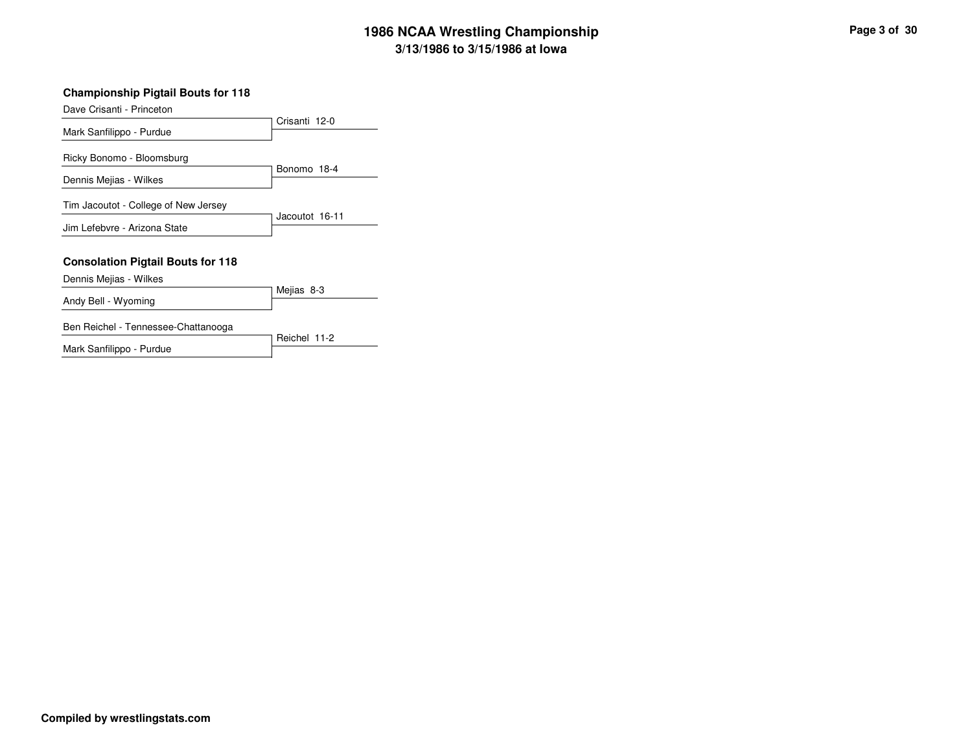#### **Championship Pigtail Bouts for 118**

Dave Crisanti - Princeton

| Dave Onsahl - Finiceton                  |                |
|------------------------------------------|----------------|
|                                          | Crisanti 12-0  |
| Mark Sanfilippo - Purdue                 |                |
|                                          |                |
| Ricky Bonomo - Bloomsburg                |                |
|                                          | Bonomo 18-4    |
| Dennis Mejias - Wilkes                   |                |
|                                          |                |
| Tim Jacoutot - College of New Jersey     |                |
| Jim Lefebvre - Arizona State             | Jacoutot 16-11 |
|                                          |                |
|                                          |                |
| <b>Consolation Pigtail Bouts for 118</b> |                |
| Dennis Mejias - Wilkes                   |                |
|                                          | Mejias 8-3     |
| Andy Bell - Wyoming                      |                |
|                                          |                |
| Ben Reichel - Tennessee-Chattanooga      |                |
|                                          | Reichel 11-2   |

Mark Sanfilippo - Purdue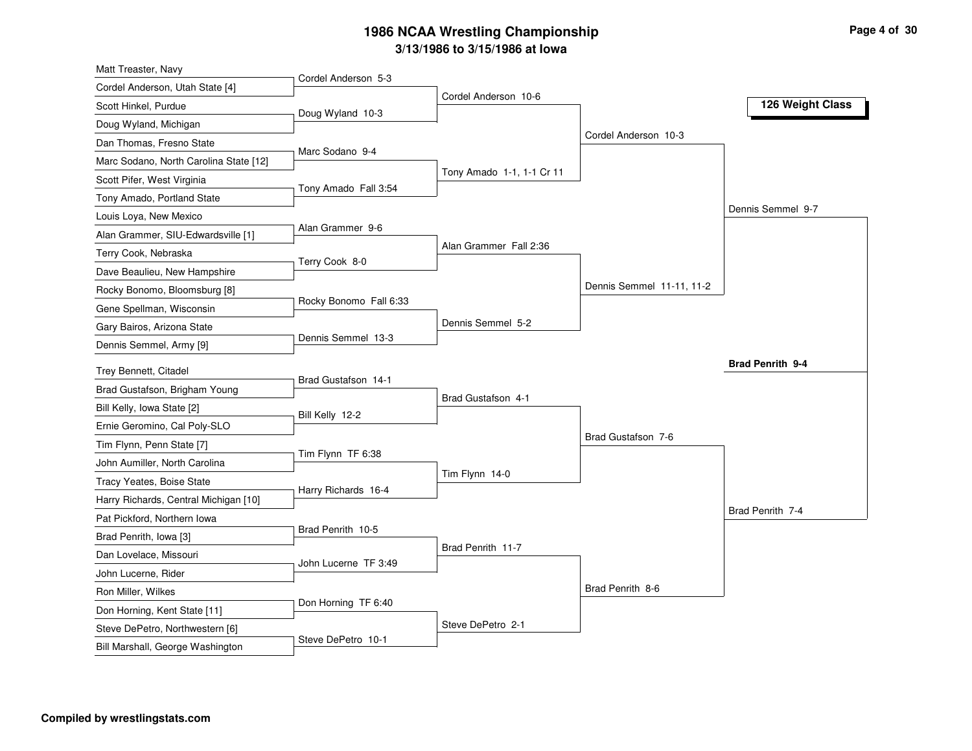| Matt Treaster, Navy                                                 | Cordel Anderson 5-3    |                           |                           |                         |
|---------------------------------------------------------------------|------------------------|---------------------------|---------------------------|-------------------------|
| Cordel Anderson, Utah State [4]                                     |                        | Cordel Anderson 10-6      |                           |                         |
| Scott Hinkel, Purdue                                                | Doug Wyland 10-3       |                           |                           | 126 Weight Class        |
| Doug Wyland, Michigan                                               |                        |                           |                           |                         |
| Dan Thomas, Fresno State                                            |                        |                           | Cordel Anderson 10-3      |                         |
| Marc Sodano, North Carolina State [12]                              | Marc Sodano 9-4        |                           |                           |                         |
| Scott Pifer, West Virginia                                          |                        | Tony Amado 1-1, 1-1 Cr 11 |                           |                         |
| Tony Amado, Portland State                                          | Tony Amado Fall 3:54   |                           |                           |                         |
| Louis Loya, New Mexico                                              |                        |                           |                           | Dennis Semmel 9-7       |
| Alan Grammer, SIU-Edwardsville [1]                                  | Alan Grammer 9-6       |                           |                           |                         |
| Terry Cook, Nebraska                                                | Terry Cook 8-0         | Alan Grammer Fall 2:36    |                           |                         |
| Dave Beaulieu, New Hampshire                                        |                        |                           |                           |                         |
| Rocky Bonomo, Bloomsburg [8]                                        |                        |                           | Dennis Semmel 11-11, 11-2 |                         |
| Gene Spellman, Wisconsin                                            | Rocky Bonomo Fall 6:33 |                           |                           |                         |
| Gary Bairos, Arizona State                                          |                        | Dennis Semmel 5-2         |                           |                         |
| Dennis Semmel, Army [9]                                             | Dennis Semmel 13-3     |                           |                           |                         |
| Trey Bennett, Citadel                                               |                        |                           |                           | <b>Brad Penrith 9-4</b> |
|                                                                     | Brad Gustafson 14-1    |                           |                           |                         |
|                                                                     |                        |                           |                           |                         |
| Brad Gustafson, Brigham Young                                       |                        | Brad Gustafson 4-1        |                           |                         |
| Bill Kelly, Iowa State [2]                                          | Bill Kelly 12-2        |                           |                           |                         |
| Ernie Geromino, Cal Poly-SLO                                        |                        |                           | Brad Gustafson 7-6        |                         |
| Tim Flynn, Penn State [7]                                           | Tim Flynn TF 6:38      |                           |                           |                         |
| John Aumiller, North Carolina                                       |                        | Tim Flynn 14-0            |                           |                         |
| Tracy Yeates, Boise State                                           | Harry Richards 16-4    |                           |                           |                         |
| Harry Richards, Central Michigan [10]                               |                        |                           |                           | Brad Penrith 7-4        |
| Pat Pickford, Northern Iowa                                         | Brad Penrith 10-5      |                           |                           |                         |
| Brad Penrith, Iowa [3]                                              |                        | Brad Penrith 11-7         |                           |                         |
| Dan Lovelace, Missouri                                              | John Lucerne TF 3:49   |                           |                           |                         |
| John Lucerne, Rider                                                 |                        |                           |                           |                         |
| Ron Miller, Wilkes                                                  | Don Horning TF 6:40    |                           | Brad Penrith 8-6          |                         |
| Don Horning, Kent State [11]                                        |                        |                           |                           |                         |
| Steve DePetro, Northwestern [6]<br>Bill Marshall, George Washington | Steve DePetro 10-1     | Steve DePetro 2-1         |                           |                         |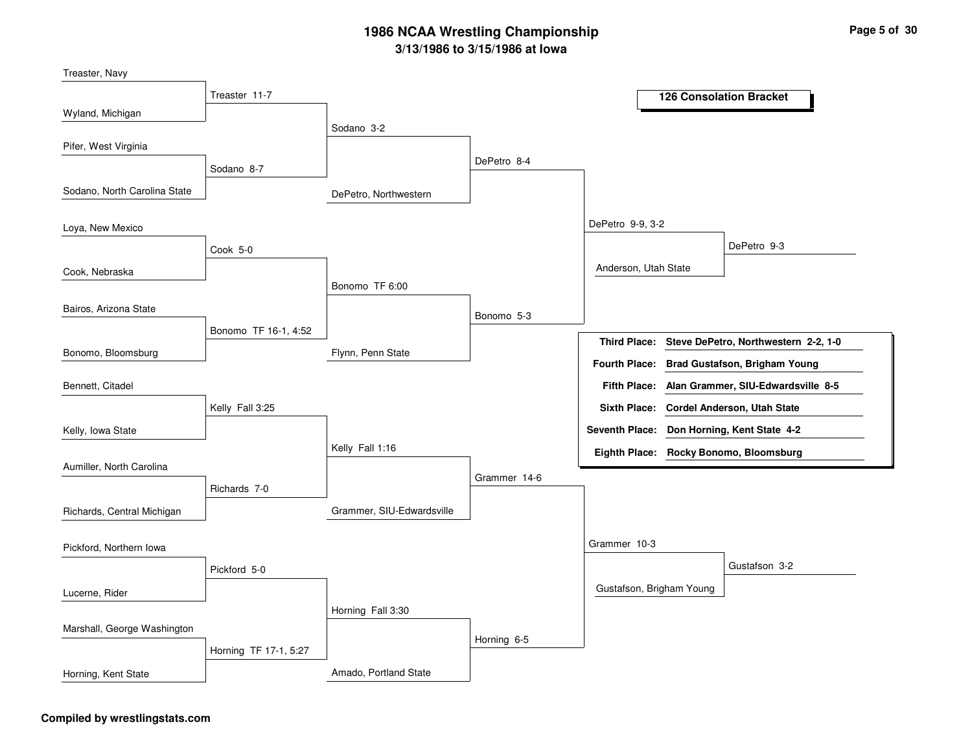| Treaster, Navy               |                       |                           |              |                          |                                                   |
|------------------------------|-----------------------|---------------------------|--------------|--------------------------|---------------------------------------------------|
|                              | Treaster 11-7         |                           |              |                          | <b>126 Consolation Bracket</b>                    |
| Wyland, Michigan             |                       |                           |              |                          |                                                   |
| Pifer, West Virginia         |                       | Sodano 3-2                |              |                          |                                                   |
|                              | Sodano 8-7            |                           | DePetro 8-4  |                          |                                                   |
| Sodano, North Carolina State |                       | DePetro, Northwestern     |              |                          |                                                   |
| Loya, New Mexico             |                       |                           |              | DePetro 9-9, 3-2         |                                                   |
|                              | Cook 5-0              |                           |              |                          | DePetro 9-3                                       |
| Cook, Nebraska               |                       |                           |              | Anderson, Utah State     |                                                   |
|                              |                       | Bonomo TF 6:00            |              |                          |                                                   |
| Bairos, Arizona State        |                       |                           | Bonomo 5-3   |                          |                                                   |
|                              | Bonomo TF 16-1, 4:52  |                           |              |                          | Third Place: Steve DePetro, Northwestern 2-2, 1-0 |
| Bonomo, Bloomsburg           |                       | Flynn, Penn State         |              |                          | Fourth Place: Brad Gustafson, Brigham Young       |
| Bennett, Citadel             |                       |                           |              | <b>Fifth Place:</b>      | Alan Grammer, SIU-Edwardsville 8-5                |
|                              | Kelly Fall 3:25       |                           |              |                          | Sixth Place: Cordel Anderson, Utah State          |
| Kelly, Iowa State            |                       |                           |              |                          | Seventh Place: Don Horning, Kent State 4-2        |
|                              |                       | Kelly Fall 1:16           |              |                          | Eighth Place: Rocky Bonomo, Bloomsburg            |
| Aumiller, North Carolina     |                       |                           | Grammer 14-6 |                          |                                                   |
|                              | Richards 7-0          |                           |              |                          |                                                   |
| Richards, Central Michigan   |                       | Grammer, SIU-Edwardsville |              |                          |                                                   |
| Pickford, Northern Iowa      |                       |                           |              | Grammer 10-3             |                                                   |
|                              | Pickford 5-0          |                           |              |                          | Gustafson 3-2                                     |
| Lucerne, Rider               |                       |                           |              | Gustafson, Brigham Young |                                                   |
|                              |                       | Horning Fall 3:30         |              |                          |                                                   |
| Marshall, George Washington  |                       |                           | Horning 6-5  |                          |                                                   |
|                              | Horning TF 17-1, 5:27 |                           |              |                          |                                                   |
| Horning, Kent State          |                       | Amado, Portland State     |              |                          |                                                   |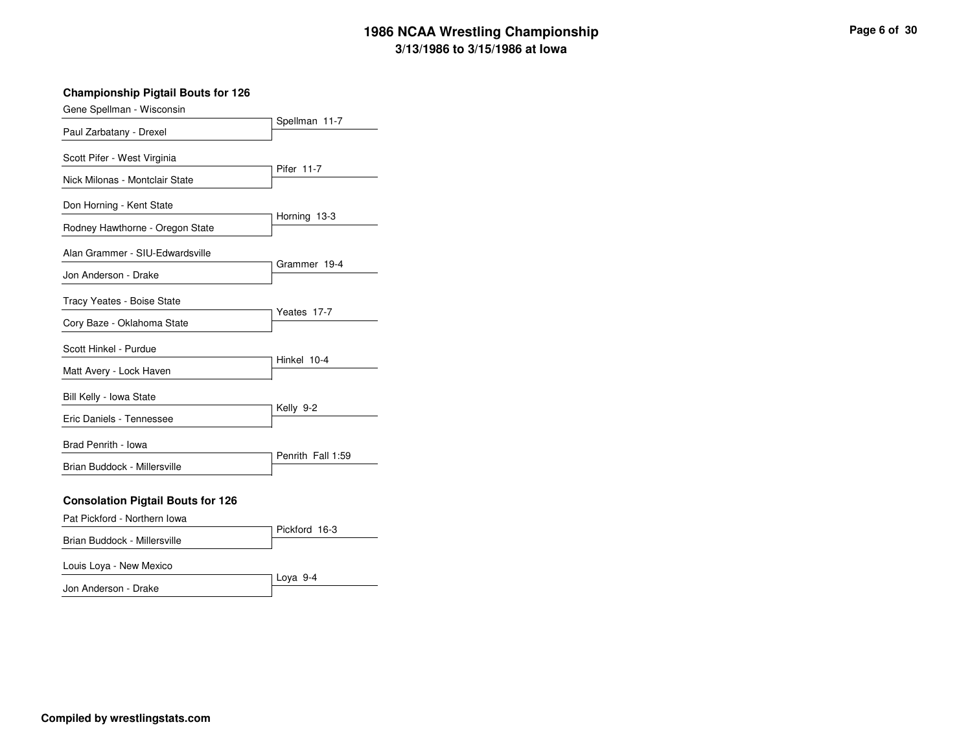#### **Championship Pigtail Bouts for 126**

| Gene Spellman - Wisconsin                |                   |  |  |
|------------------------------------------|-------------------|--|--|
| Paul Zarbatany - Drexel                  | Spellman 11-7     |  |  |
| Scott Pifer - West Virginia              | Pifer 11-7        |  |  |
| Nick Milonas - Montclair State           |                   |  |  |
| Don Horning - Kent State                 |                   |  |  |
| Rodney Hawthorne - Oregon State          | Horning 13-3      |  |  |
| Alan Grammer - SIU-Edwardsville          | Grammer 19-4      |  |  |
| Jon Anderson - Drake                     |                   |  |  |
| Tracy Yeates - Boise State               | Yeates 17-7       |  |  |
| Cory Baze - Oklahoma State               |                   |  |  |
| Scott Hinkel - Purdue                    |                   |  |  |
| Matt Avery - Lock Haven                  | Hinkel 10-4       |  |  |
| Bill Kelly - Iowa State                  | Kelly 9-2         |  |  |
| Eric Daniels - Tennessee                 |                   |  |  |
| Brad Penrith - Iowa                      |                   |  |  |
| Brian Buddock - Millersville             | Penrith Fall 1:59 |  |  |
| <b>Consolation Pigtail Bouts for 126</b> |                   |  |  |
| Pat Pickford - Northern Iowa             | Pickford 16-3     |  |  |
| Brian Buddock - Millersville             |                   |  |  |

#### Louis Loya - New Mexico

Jon Anderson - Drake

Loya 9-4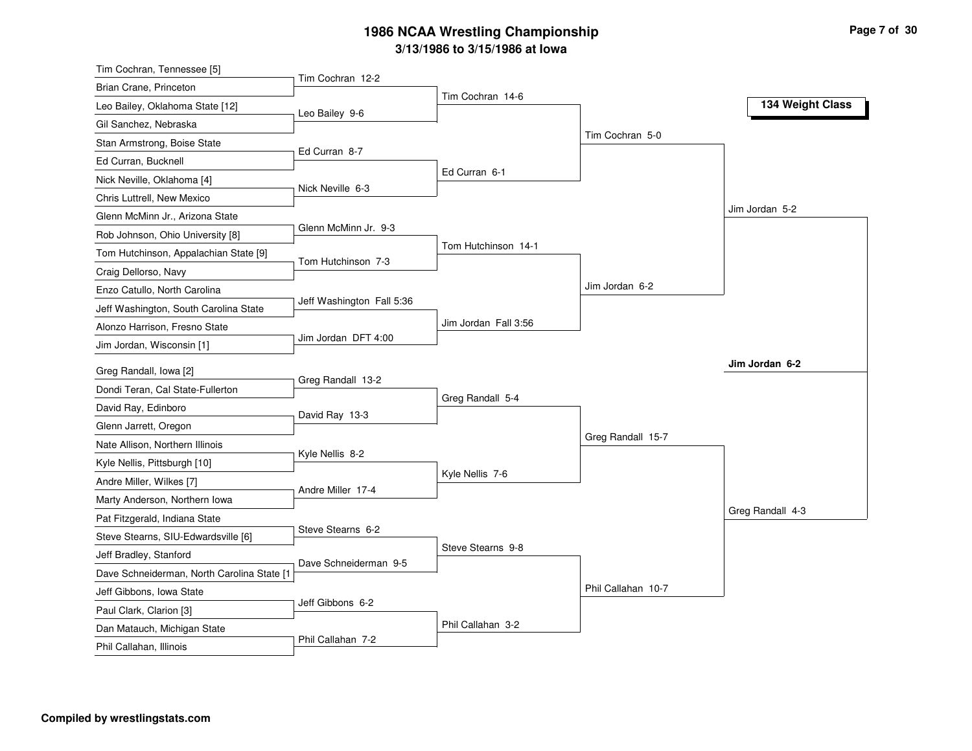| Tim Cochran, Tennessee [5]                             |                           |                      |                    |                  |
|--------------------------------------------------------|---------------------------|----------------------|--------------------|------------------|
| Brian Crane, Princeton                                 | Tim Cochran 12-2          |                      |                    |                  |
| Leo Bailey, Oklahoma State [12]                        | Leo Bailey 9-6            | Tim Cochran 14-6     |                    | 134 Weight Class |
| Gil Sanchez, Nebraska                                  |                           |                      |                    |                  |
| Stan Armstrong, Boise State                            |                           |                      | Tim Cochran 5-0    |                  |
| Ed Curran, Bucknell                                    | Ed Curran 8-7             |                      |                    |                  |
| Nick Neville, Oklahoma [4]                             |                           | Ed Curran 6-1        |                    |                  |
| Chris Luttrell, New Mexico                             | Nick Neville 6-3          |                      |                    |                  |
| Glenn McMinn Jr., Arizona State                        |                           |                      |                    | Jim Jordan 5-2   |
| Rob Johnson, Ohio University [8]                       | Glenn McMinn Jr. 9-3      |                      |                    |                  |
| Tom Hutchinson, Appalachian State [9]                  | Tom Hutchinson 7-3        | Tom Hutchinson 14-1  |                    |                  |
| Craig Dellorso, Navy                                   |                           |                      |                    |                  |
| Enzo Catullo, North Carolina                           |                           |                      | Jim Jordan 6-2     |                  |
| Jeff Washington, South Carolina State                  | Jeff Washington Fall 5:36 |                      |                    |                  |
| Alonzo Harrison, Fresno State                          |                           | Jim Jordan Fall 3:56 |                    |                  |
| Jim Jordan, Wisconsin [1]                              | Jim Jordan DFT 4:00       |                      |                    |                  |
| Greg Randall, Iowa [2]                                 |                           |                      |                    | Jim Jordan 6-2   |
| Dondi Teran, Cal State-Fullerton                       | Greg Randall 13-2         |                      |                    |                  |
| David Ray, Edinboro                                    |                           | Greg Randall 5-4     |                    |                  |
| Glenn Jarrett, Oregon                                  | David Ray 13-3            |                      |                    |                  |
| Nate Allison, Northern Illinois                        |                           |                      |                    |                  |
|                                                        |                           |                      | Greg Randall 15-7  |                  |
|                                                        | Kyle Nellis 8-2           |                      |                    |                  |
| Kyle Nellis, Pittsburgh [10]                           |                           | Kyle Nellis 7-6      |                    |                  |
| Andre Miller, Wilkes [7]                               | Andre Miller 17-4         |                      |                    |                  |
| Marty Anderson, Northern Iowa                          |                           |                      |                    | Greg Randall 4-3 |
| Pat Fitzgerald, Indiana State                          | Steve Stearns 6-2         |                      |                    |                  |
| Steve Stearns, SIU-Edwardsville [6]                    |                           | Steve Stearns 9-8    |                    |                  |
| Jeff Bradley, Stanford                                 | Dave Schneiderman 9-5     |                      |                    |                  |
| Dave Schneiderman, North Carolina State [1             |                           |                      | Phil Callahan 10-7 |                  |
| Jeff Gibbons, Iowa State                               | Jeff Gibbons 6-2          |                      |                    |                  |
| Paul Clark, Clarion [3]<br>Dan Matauch, Michigan State |                           | Phil Callahan 3-2    |                    |                  |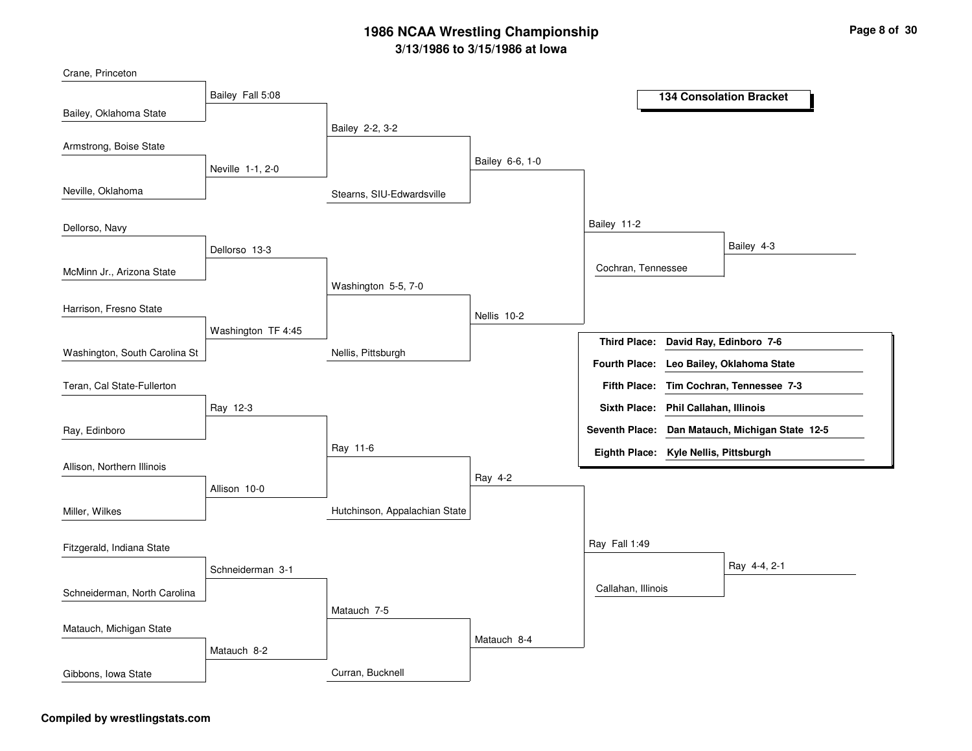Stearns, SIU-EdwardsvilleNellis, PittsburghHutchinson, Appalachian StateCurran, BucknellBailey 2-2, 3-2Washington 5-5, 7-0Ray 11-6Matauch 7-5Bailey 6-6, 1-0Nellis 10-2Ray 4-2Matauch 8-4Bailey 11-2Ray Fall 1:49Cochran, TennesseeCallahan, IllinoisBailey 4-3Ray 4-4, 2-1Bailey Fall 5:08Neville 1-1, 2-0Dellorso 13-3Washington TF 4:45Ray 12-3Allison 10-0Schneiderman 3-1Matauch 8-2Bailey, Oklahoma StateNeville, OklahomaMcMinn Jr., Arizona StateWashington, South Carolina StCrane, PrincetonArmstrong, Boise StateDellorso, NavyHarrison, Fresno StateRay, EdinboroTeran, Cal State-FullertonAllison, Northern IllinoisMiller, WilkesSchneiderman, North Carolina Fitzgerald, Indiana StateMatauch, Michigan StateGibbons, Iowa State**134 Consolation BracketDavid Ray, Edinboro 7-6Third Place:Tim Cochran, Tennessee 7-3Fifth Place:Seventh Place: Dan Matauch, Michigan State 12-5Eighth Place: Kyle Nellis, PittsburghFourth Place: Leo Bailey, Oklahoma StateSixth Place: Phil Callahan, Illinois**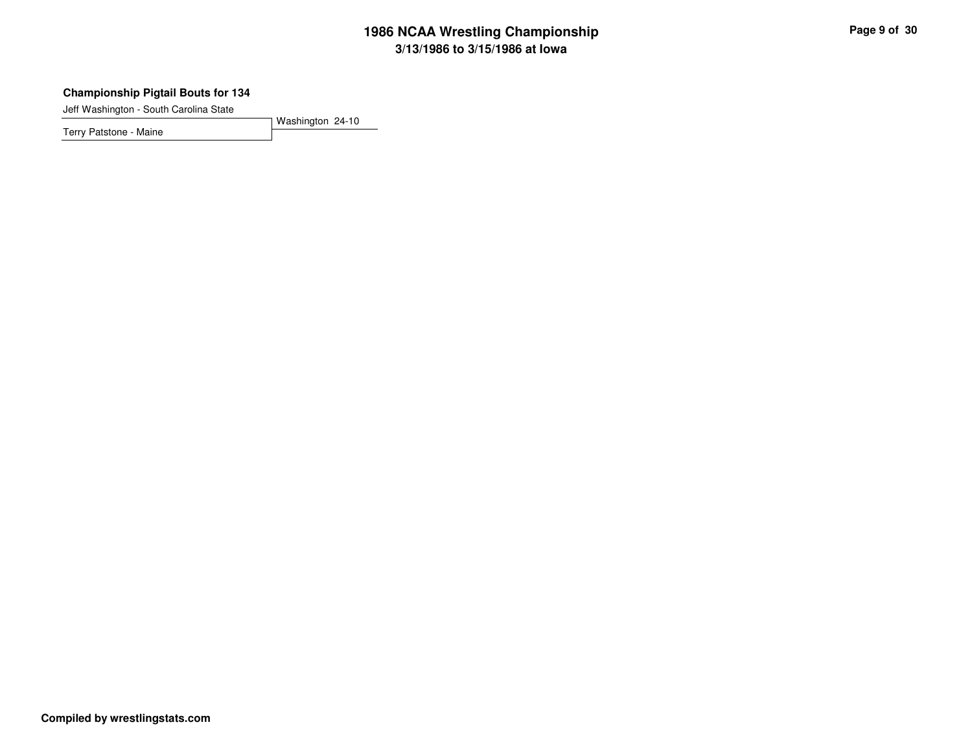#### **Championship Pigtail Bouts for 134**

Jeff Washington - South Carolina State

Terry Patstone - Maine

Washington 24-10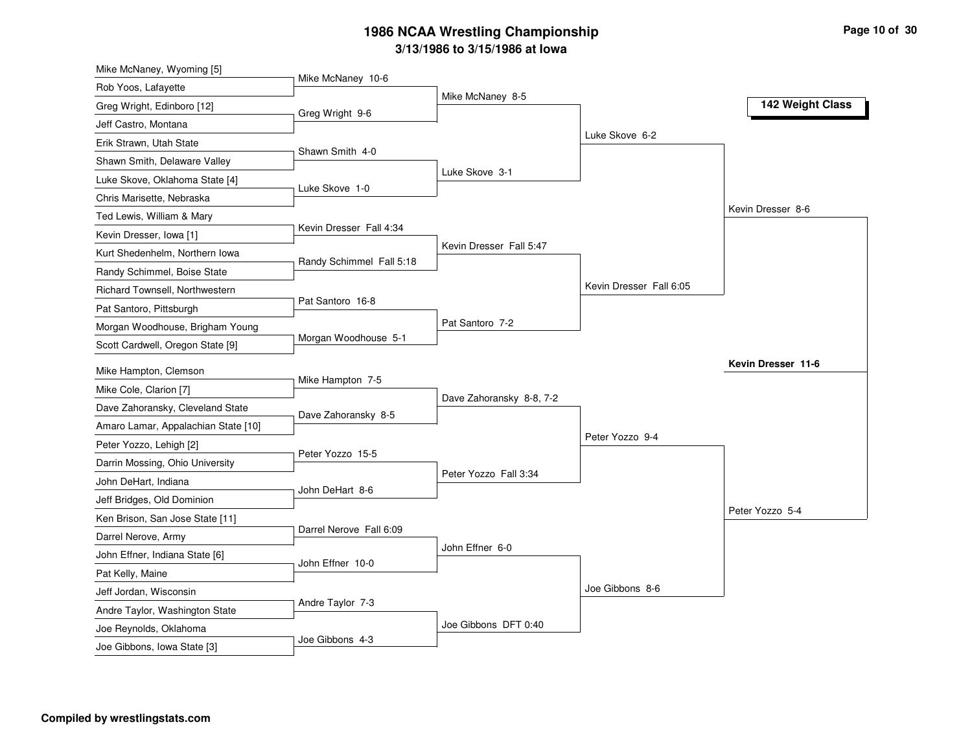| Mike McNaney, Wyoming [5]           |                          |                          |                         |                    |
|-------------------------------------|--------------------------|--------------------------|-------------------------|--------------------|
| Rob Yoos, Lafayette                 | Mike McNaney 10-6        | Mike McNaney 8-5         |                         |                    |
| Greg Wright, Edinboro [12]          | Greg Wright 9-6          |                          |                         | 142 Weight Class   |
| Jeff Castro, Montana                |                          |                          |                         |                    |
| Erik Strawn, Utah State             |                          |                          | Luke Skove 6-2          |                    |
| Shawn Smith, Delaware Valley        | Shawn Smith 4-0          |                          |                         |                    |
| Luke Skove, Oklahoma State [4]      |                          | Luke Skove 3-1           |                         |                    |
| Chris Marisette, Nebraska           | Luke Skove 1-0           |                          |                         |                    |
| Ted Lewis, William & Mary           |                          |                          |                         | Kevin Dresser 8-6  |
| Kevin Dresser, Iowa [1]             | Kevin Dresser Fall 4:34  |                          |                         |                    |
| Kurt Shedenhelm, Northern Iowa      |                          | Kevin Dresser Fall 5:47  |                         |                    |
| Randy Schimmel, Boise State         | Randy Schimmel Fall 5:18 |                          |                         |                    |
| Richard Townsell, Northwestern      |                          |                          | Kevin Dresser Fall 6:05 |                    |
| Pat Santoro, Pittsburgh             | Pat Santoro 16-8         |                          |                         |                    |
| Morgan Woodhouse, Brigham Young     |                          | Pat Santoro 7-2          |                         |                    |
| Scott Cardwell, Oregon State [9]    | Morgan Woodhouse 5-1     |                          |                         |                    |
| Mike Hampton, Clemson               |                          |                          |                         | Kevin Dresser 11-6 |
| Mike Cole, Clarion [7]              | Mike Hampton 7-5         |                          |                         |                    |
| Dave Zahoransky, Cleveland State    |                          | Dave Zahoransky 8-8, 7-2 |                         |                    |
| Amaro Lamar, Appalachian State [10] | Dave Zahoransky 8-5      |                          |                         |                    |
| Peter Yozzo, Lehigh [2]             |                          |                          | Peter Yozzo 9-4         |                    |
| Darrin Mossing, Ohio University     | Peter Yozzo 15-5         |                          |                         |                    |
|                                     |                          | Peter Yozzo Fall 3:34    |                         |                    |
| John DeHart, Indiana                | John DeHart 8-6          |                          |                         |                    |
| Jeff Bridges, Old Dominion          |                          |                          |                         | Peter Yozzo 5-4    |
| Ken Brison, San Jose State [11]     | Darrel Nerove Fall 6:09  |                          |                         |                    |
| Darrel Nerove, Army                 |                          | John Effner 6-0          |                         |                    |
| John Effner, Indiana State [6]      | John Effner 10-0         |                          |                         |                    |
| Pat Kelly, Maine                    |                          |                          | Joe Gibbons 8-6         |                    |
| Jeff Jordan, Wisconsin              | Andre Taylor 7-3         |                          |                         |                    |
| Andre Taylor, Washington State      |                          | Joe Gibbons DFT 0:40     |                         |                    |
| Joe Reynolds, Oklahoma              | Joe Gibbons 4-3          |                          |                         |                    |
| Joe Gibbons, Iowa State [3]         |                          |                          |                         |                    |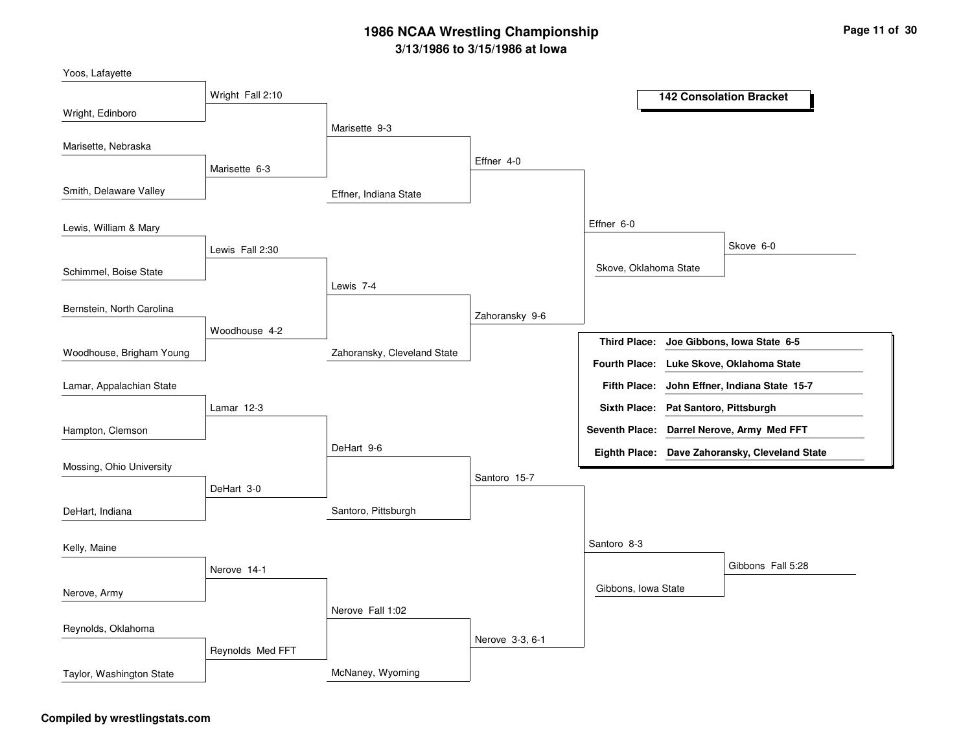Effner, Indiana StateZahoransky, Cleveland StateSantoro, PittsburghMcNaney, WyomingMarisette 9-3Lewis 7-4DeHart 9-6Nerove Fall 1:02Effner 4-0Zahoransky 9-6Santoro 15-7Nerove 3-3, 6-1Effner 6-0Santoro 8-3Skove, Oklahoma StateGibbons, Iowa StateSkove 6-0Gibbons Fall 5:28Wright Fall 2:10Marisette 6-3Lewis Fall 2:30Woodhouse 4-2Lamar 12-3DeHart 3-0Nerove 14-1Reynolds Med FFTWright, EdinboroSmith, Delaware ValleySchimmel, Boise StateWoodhouse, Brigham YoungYoos, LafayetteMarisette, NebraskaLewis, William & MaryBernstein, North CarolinaHampton, ClemsonLamar, Appalachian StateMossing, Ohio UniversityDeHart, IndianaNerove, ArmyKelly, MaineReynolds, OklahomaTaylor, Washington State**142 Consolation BracketJoe Gibbons, Iowa State 6-5John Effner, Indiana State 15-7Third Place:Fifth Place:Seventh Place: Darrel Nerove, Army Med FFTEighth Place: Dave Zahoransky, Cleveland StateFourth Place: Luke Skove, Oklahoma StateSixth Place: Pat Santoro, Pittsburgh**

#### **Compiled by wrestlingstats.com**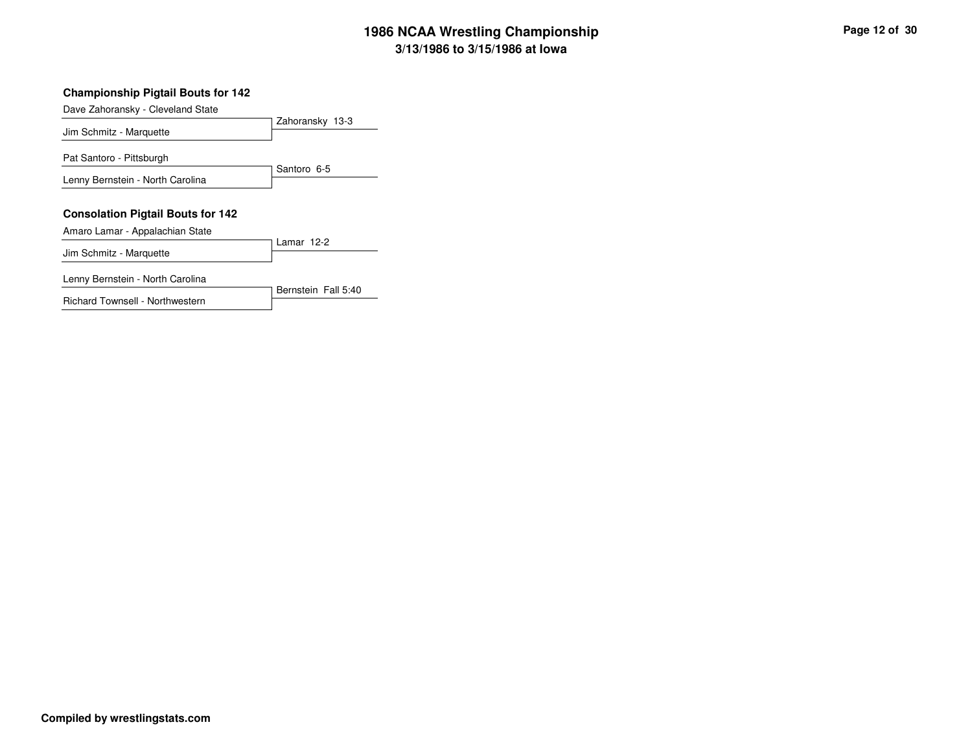#### **Championship Pigtail Bouts for 142**

Dave Zahoransky - Cleveland State

| Jim Schmitz - Marquette                                                     | Zahoransky 13-3 |
|-----------------------------------------------------------------------------|-----------------|
| Pat Santoro - Pittsburgh                                                    |                 |
| Lenny Bernstein - North Carolina                                            | Santoro 6-5     |
| <b>Consolation Pigtail Bouts for 142</b><br>Amaro Lamar - Appalachian State |                 |
|                                                                             | Lamar 12-2      |
| Jim Schmitz - Marquette                                                     |                 |

Richard Townsell - Northwestern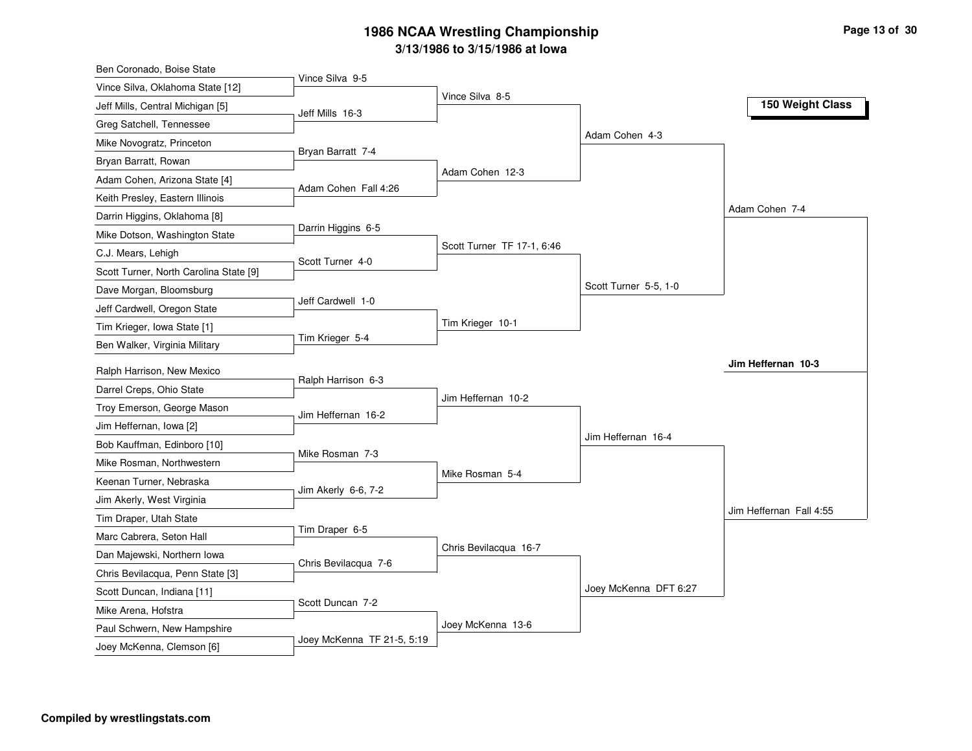| Ben Coronado, Boise State              |                            |                            |                       |                         |
|----------------------------------------|----------------------------|----------------------------|-----------------------|-------------------------|
| Vince Silva, Oklahoma State [12]       | Vince Silva 9-5            |                            |                       |                         |
| Jeff Mills, Central Michigan [5]       | Jeff Mills 16-3            | Vince Silva 8-5            |                       | 150 Weight Class        |
| Greg Satchell, Tennessee               |                            |                            |                       |                         |
| Mike Novogratz, Princeton              |                            |                            | Adam Cohen 4-3        |                         |
| Bryan Barratt, Rowan                   | Bryan Barratt 7-4          |                            |                       |                         |
| Adam Cohen, Arizona State [4]          |                            | Adam Cohen 12-3            |                       |                         |
| Keith Presley, Eastern Illinois        | Adam Cohen Fall 4:26       |                            |                       |                         |
| Darrin Higgins, Oklahoma [8]           |                            |                            |                       | Adam Cohen 7-4          |
| Mike Dotson, Washington State          | Darrin Higgins 6-5         |                            |                       |                         |
| C.J. Mears, Lehigh                     |                            | Scott Turner TF 17-1, 6:46 |                       |                         |
| Scott Turner, North Carolina State [9] | Scott Turner 4-0           |                            |                       |                         |
| Dave Morgan, Bloomsburg                |                            |                            | Scott Turner 5-5, 1-0 |                         |
| Jeff Cardwell, Oregon State            | Jeff Cardwell 1-0          |                            |                       |                         |
| Tim Krieger, Iowa State [1]            |                            | Tim Krieger 10-1           |                       |                         |
| Ben Walker, Virginia Military          | Tim Krieger 5-4            |                            |                       |                         |
| Ralph Harrison, New Mexico             |                            |                            |                       | Jim Heffernan 10-3      |
| Darrel Creps, Ohio State               | Ralph Harrison 6-3         |                            |                       |                         |
| Troy Emerson, George Mason             |                            | Jim Heffernan 10-2         |                       |                         |
| Jim Heffernan, Iowa [2]                | Jim Heffernan 16-2         |                            |                       |                         |
| Bob Kauffman, Edinboro [10]            |                            |                            | Jim Heffernan 16-4    |                         |
| Mike Rosman, Northwestern              | Mike Rosman 7-3            |                            |                       |                         |
| Keenan Turner, Nebraska                |                            | Mike Rosman 5-4            |                       |                         |
|                                        | Jim Akerly 6-6, 7-2        |                            |                       |                         |
| Jim Akerly, West Virginia              |                            |                            |                       | Jim Heffernan Fall 4:55 |
| Tim Draper, Utah State                 | Tim Draper 6-5             |                            |                       |                         |
| Marc Cabrera, Seton Hall               |                            | Chris Bevilacqua 16-7      |                       |                         |
| Dan Majewski, Northern Iowa            | Chris Bevilacqua 7-6       |                            |                       |                         |
| Chris Bevilacqua, Penn State [3]       |                            |                            | Joey McKenna DFT 6:27 |                         |
| Scott Duncan, Indiana [11]             | Scott Duncan 7-2           |                            |                       |                         |
| Mike Arena, Hofstra                    |                            | Joey McKenna 13-6          |                       |                         |
| Paul Schwern, New Hampshire            | Joey McKenna TF 21-5, 5:19 |                            |                       |                         |
| Joey McKenna, Clemson [6]              |                            |                            |                       |                         |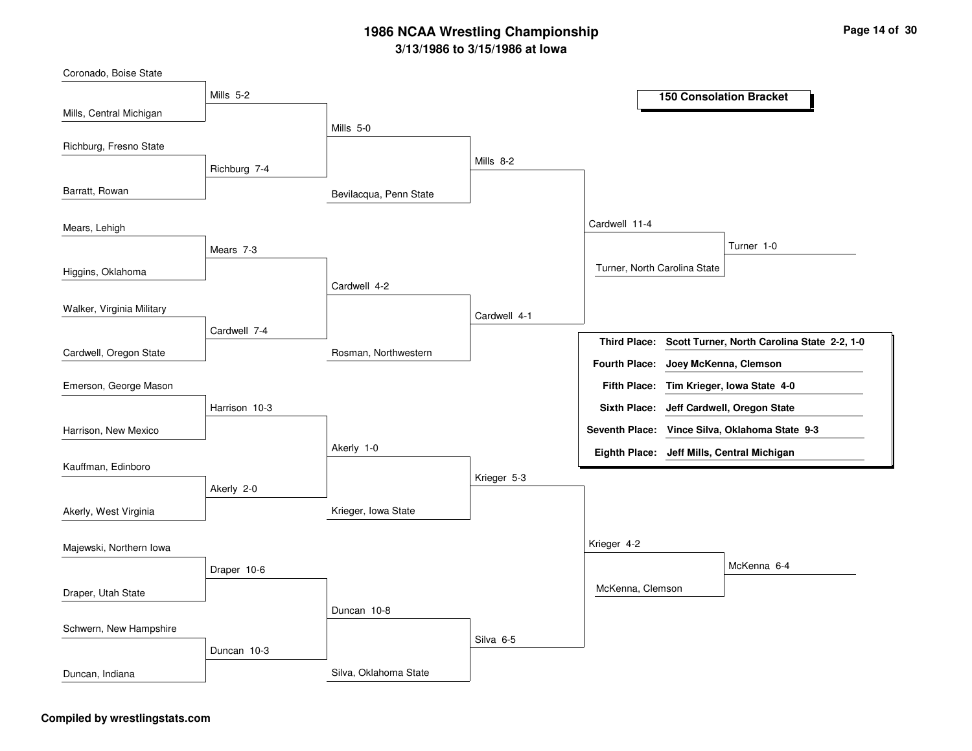Bevilacqua, Penn StateRosman, NorthwesternKrieger, Iowa StateSilva, Oklahoma StateMills 5-0Cardwell 4-2Akerly 1-0Duncan 10-8Mills 8-2Cardwell 4-1Krieger 5-3Silva 6-5Cardwell 11-4Krieger 4-2Turner, North Carolina StateMcKenna, ClemsonTurner 1-0McKenna 6-4Mills 5-2Richburg 7-4Mears 7-3Cardwell 7-4Harrison 10-3Akerly 2-0Draper 10-6Duncan 10-3Mills, Central MichiganBarratt, RowanHiggins, OklahomaCardwell, Oregon StateCoronado, Boise StateRichburg, Fresno StateMears, LehighWalker, Virginia MilitaryHarrison, New MexicoEmerson, George MasonKauffman, EdinboroAkerly, West VirginiaDraper, Utah StateMajewski, Northern IowaSchwern, New HampshireDuncan, Indiana**150 Consolation BracketScott Turner, North Carolina State 2-2, 1-0Tim Krieger, Iowa State 4-0Fifth Place:Third Place:Seventh Place: Vince Silva, Oklahoma State 9-3Eighth Place: Jeff Mills, Central MichiganFourth Place: Joey McKenna, ClemsonSixth Place: Jeff Cardwell, Oregon State**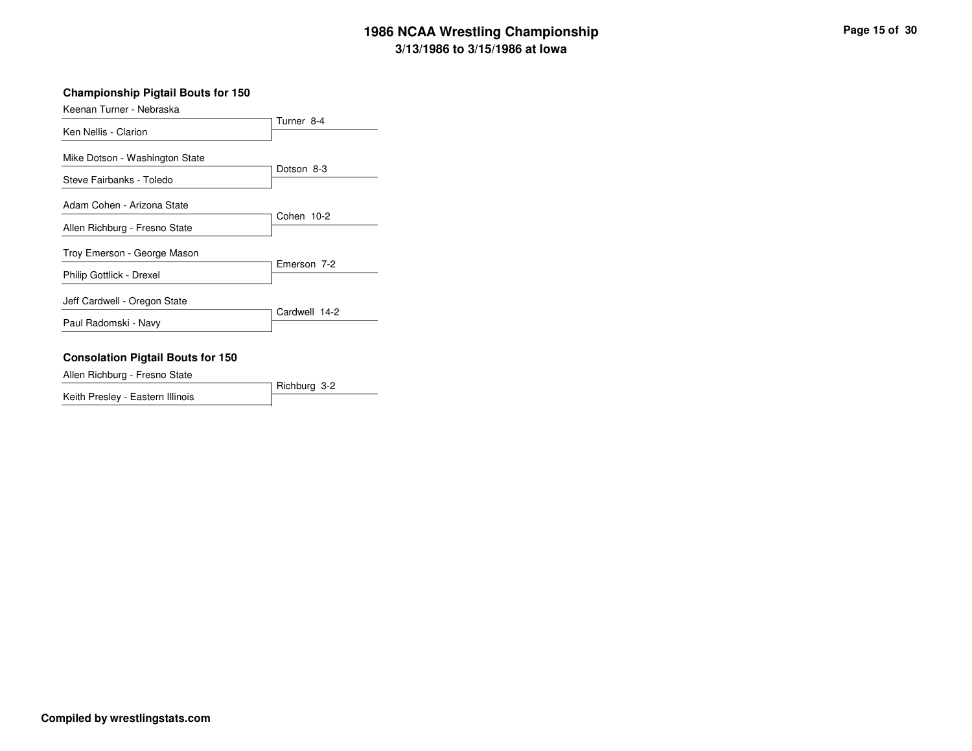#### **Championship Pigtail Bouts for 150**

| Keenan Turner - Nebraska                                   |               |
|------------------------------------------------------------|---------------|
| Ken Nellis - Clarion                                       | Turner 8-4    |
| Mike Dotson - Washington State<br>Steve Fairbanks - Toledo | Dotson 8-3    |
| Adam Cohen - Arizona State                                 |               |
| Allen Richburg - Fresno State                              | Cohen 10-2    |
| Troy Emerson - George Mason                                |               |
| Philip Gottlick - Drexel                                   | Emerson 7-2   |
| Jeff Cardwell - Oregon State                               | Cardwell 14-2 |
| Paul Radomski - Navy                                       |               |

#### **Consolation Pigtail Bouts for 150**

Allen Richburg - Fresno State

|                                  | Richburg 3-2 |
|----------------------------------|--------------|
| Keith Presley - Eastern Illinois |              |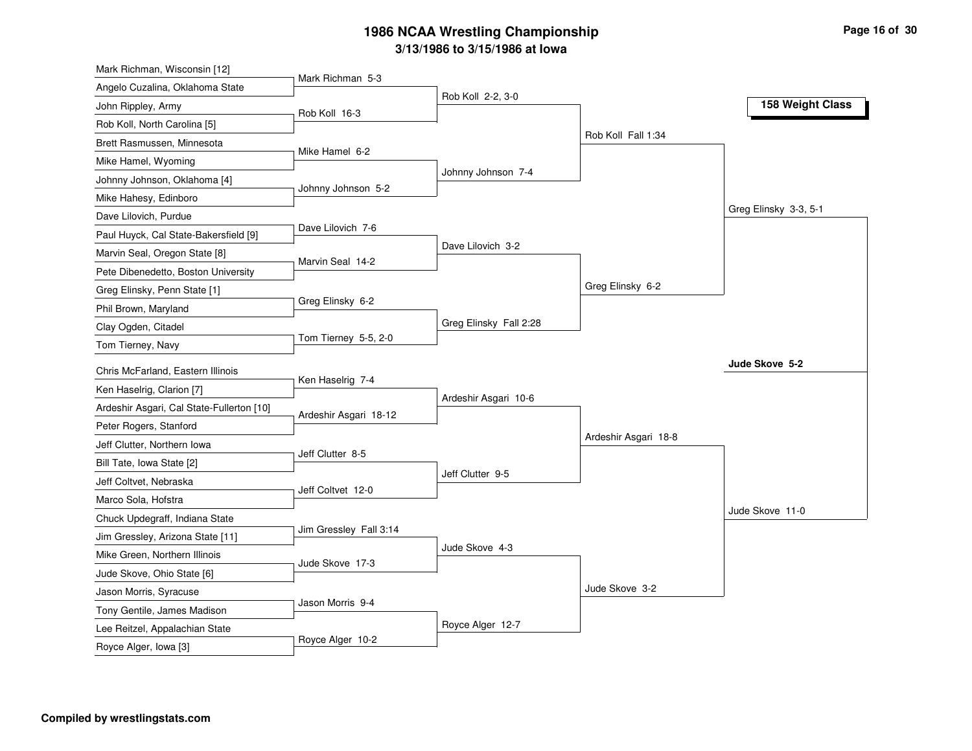| Mark Richman, Wisconsin [12]                            |                        |                        |                      |                       |
|---------------------------------------------------------|------------------------|------------------------|----------------------|-----------------------|
| Angelo Cuzalina, Oklahoma State                         | Mark Richman 5-3       |                        |                      |                       |
| John Rippley, Army                                      | Rob Koll 16-3          | Rob Koll 2-2, 3-0      |                      | 158 Weight Class      |
| Rob Koll, North Carolina [5]                            |                        |                        |                      |                       |
| Brett Rasmussen, Minnesota                              |                        |                        | Rob Koll Fall 1:34   |                       |
| Mike Hamel, Wyoming                                     | Mike Hamel 6-2         |                        |                      |                       |
| Johnny Johnson, Oklahoma [4]                            |                        | Johnny Johnson 7-4     |                      |                       |
| Mike Hahesy, Edinboro                                   | Johnny Johnson 5-2     |                        |                      |                       |
| Dave Lilovich, Purdue                                   |                        |                        |                      | Greg Elinsky 3-3, 5-1 |
| Paul Huyck, Cal State-Bakersfield [9]                   | Dave Lilovich 7-6      |                        |                      |                       |
| Marvin Seal, Oregon State [8]                           |                        | Dave Lilovich 3-2      |                      |                       |
| Pete Dibenedetto, Boston University                     | Marvin Seal 14-2       |                        |                      |                       |
| Greg Elinsky, Penn State [1]                            |                        |                        | Greg Elinsky 6-2     |                       |
| Phil Brown, Maryland                                    | Greg Elinsky 6-2       |                        |                      |                       |
| Clay Ogden, Citadel                                     |                        | Greg Elinsky Fall 2:28 |                      |                       |
| Tom Tierney, Navy                                       | Tom Tierney 5-5, 2-0   |                        |                      |                       |
| Chris McFarland, Eastern Illinois                       |                        |                        |                      | Jude Skove 5-2        |
| Ken Haselrig, Clarion [7]                               | Ken Haselrig 7-4       |                        |                      |                       |
| Ardeshir Asgari, Cal State-Fullerton [10]               |                        | Ardeshir Asgari 10-6   |                      |                       |
|                                                         | Ardeshir Asgari 18-12  |                        |                      |                       |
| Peter Rogers, Stanford<br>Jeff Clutter, Northern Iowa   |                        |                        | Ardeshir Asgari 18-8 |                       |
|                                                         | Jeff Clutter 8-5       |                        |                      |                       |
| Bill Tate, Iowa State [2]                               |                        |                        |                      |                       |
|                                                         |                        | Jeff Clutter 9-5       |                      |                       |
| Jeff Coltvet, Nebraska                                  | Jeff Coltvet 12-0      |                        |                      |                       |
| Marco Sola, Hofstra                                     |                        |                        |                      | Jude Skove 11-0       |
| Chuck Updegraff, Indiana State                          | Jim Gressley Fall 3:14 |                        |                      |                       |
| Jim Gressley, Arizona State [11]                        |                        | Jude Skove 4-3         |                      |                       |
| Mike Green, Northern Illinois                           | Jude Skove 17-3        |                        |                      |                       |
| Jude Skove, Ohio State [6]                              |                        |                        |                      |                       |
| Jason Morris, Syracuse                                  | Jason Morris 9-4       |                        | Jude Skove 3-2       |                       |
| Tony Gentile, James Madison                             |                        |                        |                      |                       |
| Lee Reitzel, Appalachian State<br>Royce Alger, Iowa [3] | Royce Alger 10-2       | Royce Alger 12-7       |                      |                       |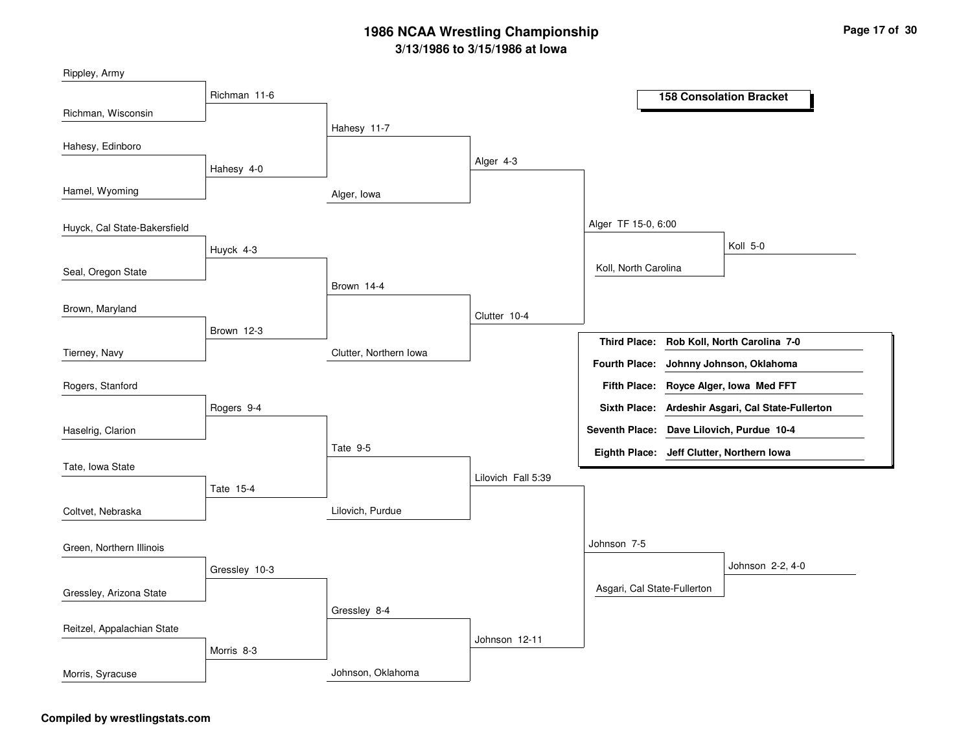| Rippley, Army                |               |                        |                    |                             |                                           |
|------------------------------|---------------|------------------------|--------------------|-----------------------------|-------------------------------------------|
|                              | Richman 11-6  |                        |                    |                             | <b>158 Consolation Bracket</b>            |
| Richman, Wisconsin           |               | Hahesy 11-7            |                    |                             |                                           |
| Hahesy, Edinboro             |               |                        |                    |                             |                                           |
|                              | Hahesy 4-0    |                        | Alger 4-3          |                             |                                           |
| Hamel, Wyoming               |               | Alger, Iowa            |                    |                             |                                           |
| Huyck, Cal State-Bakersfield |               |                        |                    | Alger TF 15-0, 6:00         |                                           |
|                              | Huyck 4-3     |                        |                    |                             | Koll 5-0                                  |
| Seal, Oregon State           |               |                        |                    | Koll, North Carolina        |                                           |
|                              |               | Brown 14-4             |                    |                             |                                           |
| Brown, Maryland              |               |                        | Clutter 10-4       |                             |                                           |
|                              | Brown 12-3    |                        |                    | <b>Third Place:</b>         | Rob Koll, North Carolina 7-0              |
| Tierney, Navy                |               | Clutter, Northern Iowa |                    | <b>Fourth Place:</b>        | Johnny Johnson, Oklahoma                  |
| Rogers, Stanford             |               |                        |                    | <b>Fifth Place:</b>         | Royce Alger, Iowa Med FFT                 |
|                              | Rogers 9-4    |                        |                    | <b>Sixth Place:</b>         | Ardeshir Asgari, Cal State-Fullerton      |
| Haselrig, Clarion            |               |                        |                    |                             | Seventh Place: Dave Lilovich, Purdue 10-4 |
| Tate, Iowa State             |               | Tate 9-5               |                    |                             | Eighth Place: Jeff Clutter, Northern Iowa |
|                              | Tate 15-4     |                        | Lilovich Fall 5:39 |                             |                                           |
| Coltvet, Nebraska            |               | Lilovich, Purdue       |                    |                             |                                           |
|                              |               |                        |                    |                             |                                           |
| Green, Northern Illinois     |               |                        |                    | Johnson 7-5                 |                                           |
|                              | Gressley 10-3 |                        |                    |                             | Johnson 2-2, 4-0                          |
| Gressley, Arizona State      |               |                        |                    | Asgari, Cal State-Fullerton |                                           |
|                              |               | Gressley 8-4           |                    |                             |                                           |
| Reitzel, Appalachian State   |               |                        | Johnson 12-11      |                             |                                           |
|                              | Morris 8-3    |                        |                    |                             |                                           |
| Morris, Syracuse             |               | Johnson, Oklahoma      |                    |                             |                                           |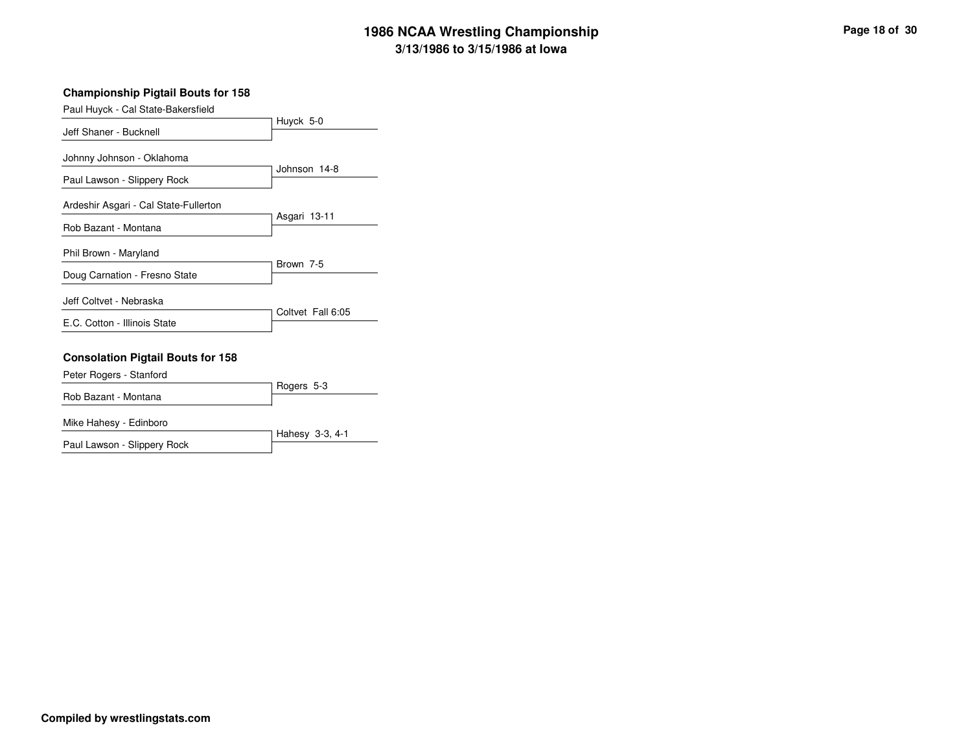#### **Championship Pigtail Bouts for 158**

| Paul Huyck - Cal State-Bakersfield                       |                   |
|----------------------------------------------------------|-------------------|
| Jeff Shaner - Bucknell                                   | Huyck 5-0         |
| Johnny Johnson - Oklahoma<br>Paul Lawson - Slippery Rock | Johnson 14-8      |
| Ardeshir Asgari - Cal State-Fullerton                    |                   |
| Rob Bazant - Montana                                     | Asgari 13-11      |
| Phil Brown - Maryland                                    | Brown 7-5         |
| Doug Carnation - Fresno State                            |                   |
| Jeff Coltvet - Nebraska                                  | Coltvet Fall 6:05 |
| E.C. Cotton - Illinois State                             |                   |
| <b>Consolation Pigtail Bouts for 158</b>                 |                   |
| Peter Rogers - Stanford                                  | Rogers 5-3        |
| Rob Bazant - Montana                                     |                   |

Hahesy 3-3, 4-1

Mike Hahesy - Edinboro

Paul Lawson - Slippery Rock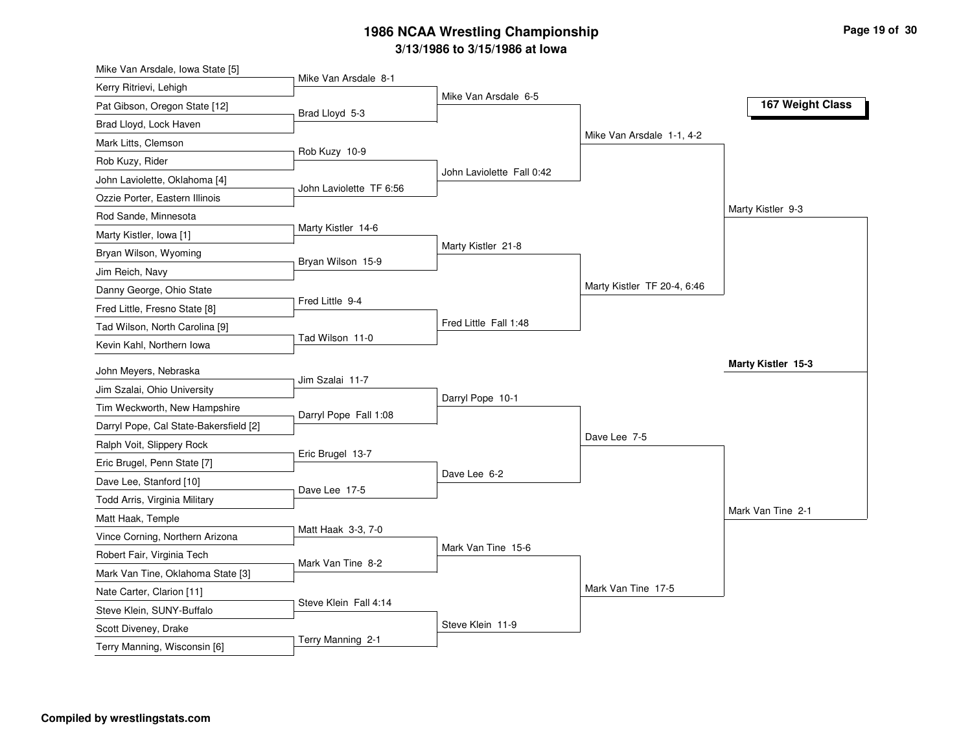| Mike Van Arsdale 8-1<br>Kerry Ritrievi, Lehigh<br>Mike Van Arsdale 6-5<br>167 Weight Class<br>Pat Gibson, Oregon State [12]<br>Brad Lloyd 5-3<br>Brad Lloyd, Lock Haven<br>Mike Van Arsdale 1-1, 4-2<br>Mark Litts, Clemson<br>Rob Kuzy 10-9<br>Rob Kuzy, Rider<br>John Laviolette Fall 0:42<br>John Laviolette, Oklahoma [4]<br>John Laviolette TF 6:56<br>Ozzie Porter, Eastern Illinois<br>Marty Kistler 9-3<br>Rod Sande, Minnesota<br>Marty Kistler 14-6<br>Marty Kistler, Iowa [1]<br>Marty Kistler 21-8<br>Bryan Wilson, Wyoming<br>Bryan Wilson 15-9<br>Jim Reich, Navy<br>Marty Kistler TF 20-4, 6:46<br>Danny George, Ohio State<br>Fred Little 9-4<br>Fred Little, Fresno State [8] |
|------------------------------------------------------------------------------------------------------------------------------------------------------------------------------------------------------------------------------------------------------------------------------------------------------------------------------------------------------------------------------------------------------------------------------------------------------------------------------------------------------------------------------------------------------------------------------------------------------------------------------------------------------------------------------------------------|
|                                                                                                                                                                                                                                                                                                                                                                                                                                                                                                                                                                                                                                                                                                |
|                                                                                                                                                                                                                                                                                                                                                                                                                                                                                                                                                                                                                                                                                                |
|                                                                                                                                                                                                                                                                                                                                                                                                                                                                                                                                                                                                                                                                                                |
|                                                                                                                                                                                                                                                                                                                                                                                                                                                                                                                                                                                                                                                                                                |
|                                                                                                                                                                                                                                                                                                                                                                                                                                                                                                                                                                                                                                                                                                |
|                                                                                                                                                                                                                                                                                                                                                                                                                                                                                                                                                                                                                                                                                                |
|                                                                                                                                                                                                                                                                                                                                                                                                                                                                                                                                                                                                                                                                                                |
|                                                                                                                                                                                                                                                                                                                                                                                                                                                                                                                                                                                                                                                                                                |
|                                                                                                                                                                                                                                                                                                                                                                                                                                                                                                                                                                                                                                                                                                |
|                                                                                                                                                                                                                                                                                                                                                                                                                                                                                                                                                                                                                                                                                                |
|                                                                                                                                                                                                                                                                                                                                                                                                                                                                                                                                                                                                                                                                                                |
|                                                                                                                                                                                                                                                                                                                                                                                                                                                                                                                                                                                                                                                                                                |
|                                                                                                                                                                                                                                                                                                                                                                                                                                                                                                                                                                                                                                                                                                |
| Fred Little Fall 1:48<br>Tad Wilson, North Carolina [9]                                                                                                                                                                                                                                                                                                                                                                                                                                                                                                                                                                                                                                        |
| Tad Wilson 11-0<br>Kevin Kahl, Northern Iowa                                                                                                                                                                                                                                                                                                                                                                                                                                                                                                                                                                                                                                                   |
| Marty Kistler 15-3<br>John Meyers, Nebraska                                                                                                                                                                                                                                                                                                                                                                                                                                                                                                                                                                                                                                                    |
| Jim Szalai 11-7<br>Jim Szalai, Ohio University                                                                                                                                                                                                                                                                                                                                                                                                                                                                                                                                                                                                                                                 |
| Darryl Pope 10-1<br>Tim Weckworth, New Hampshire                                                                                                                                                                                                                                                                                                                                                                                                                                                                                                                                                                                                                                               |
| Darryl Pope Fall 1:08<br>Darryl Pope, Cal State-Bakersfield [2]                                                                                                                                                                                                                                                                                                                                                                                                                                                                                                                                                                                                                                |
| Dave Lee 7-5<br>Ralph Voit, Slippery Rock                                                                                                                                                                                                                                                                                                                                                                                                                                                                                                                                                                                                                                                      |
| Eric Brugel 13-7<br>Eric Brugel, Penn State [7]                                                                                                                                                                                                                                                                                                                                                                                                                                                                                                                                                                                                                                                |
| Dave Lee 6-2<br>Dave Lee, Stanford [10]                                                                                                                                                                                                                                                                                                                                                                                                                                                                                                                                                                                                                                                        |
| Dave Lee 17-5<br>Todd Arris, Virginia Military                                                                                                                                                                                                                                                                                                                                                                                                                                                                                                                                                                                                                                                 |
| Mark Van Tine 2-1<br>Matt Haak, Temple                                                                                                                                                                                                                                                                                                                                                                                                                                                                                                                                                                                                                                                         |
| Matt Haak 3-3, 7-0<br>Vince Corning, Northern Arizona                                                                                                                                                                                                                                                                                                                                                                                                                                                                                                                                                                                                                                          |
| Mark Van Tine 15-6<br>Robert Fair, Virginia Tech                                                                                                                                                                                                                                                                                                                                                                                                                                                                                                                                                                                                                                               |
| Mark Van Tine 8-2<br>Mark Van Tine, Oklahoma State [3]                                                                                                                                                                                                                                                                                                                                                                                                                                                                                                                                                                                                                                         |
| Mark Van Tine 17-5<br>Nate Carter, Clarion [11]                                                                                                                                                                                                                                                                                                                                                                                                                                                                                                                                                                                                                                                |
| Steve Klein Fall 4:14<br>Steve Klein, SUNY-Buffalo                                                                                                                                                                                                                                                                                                                                                                                                                                                                                                                                                                                                                                             |
| Steve Klein 11-9<br>Scott Diveney, Drake                                                                                                                                                                                                                                                                                                                                                                                                                                                                                                                                                                                                                                                       |
| Terry Manning 2-1<br>Terry Manning, Wisconsin [6]                                                                                                                                                                                                                                                                                                                                                                                                                                                                                                                                                                                                                                              |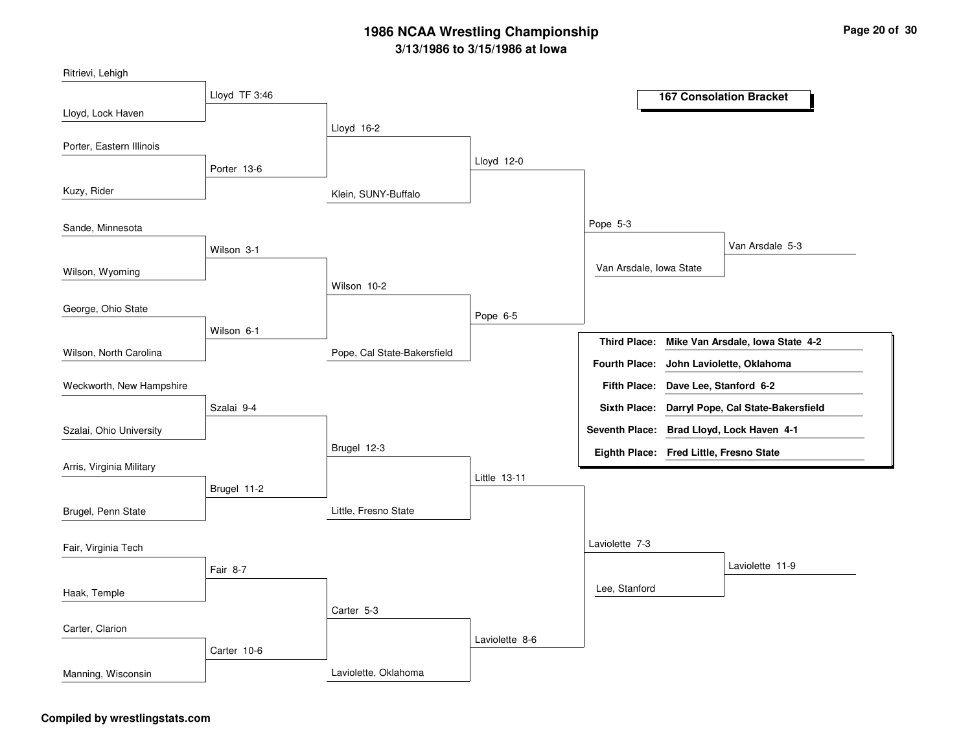Klein, SUNY-BuffaloPope, Cal State-BakersfieldLittle, Fresno StateLaviolette, OklahomaLloyd 16-2Wilson 10-2Brugel 12-3Carter 5-3Lloyd 12-0Pope 6-5Little 13-11Laviolette 8-6Pope 5-3Laviolette 7-3Van Arsdale, Iowa StateLee, StanfordVan Arsdale 5-3Laviolette 11-9Lloyd TF 3:46Porter 13-6Wilson 3-1Wilson 6-1Szalai 9-4Brugel 11-2Fair 8-7Carter 10-6Lloyd, Lock HavenKuzy, RiderWilson, WyomingWilson, North CarolinaRitrievi, LehighPorter, Eastern IllinoisSande, MinnesotaGeorge, Ohio StateSzalai, Ohio UniversityWeckworth, New HampshireArris, Virginia MilitaryBrugel, Penn StateHaak, TempleFair, Virginia TechCarter, ClarionManning, Wisconsin**167 Consolation BracketMike Van Arsdale, Iowa State 4-2Dave Lee, Stanford 6-2Fifth Place:Third Place:Seventh Place: Brad Lloyd, Lock Haven 4-1Eighth Place: Fred Little, Fresno StateFourth Place: John Laviolette, OklahomaSixth Place: Darryl Pope, Cal State-Bakersfield**

#### **Compiled by wrestlingstats.com**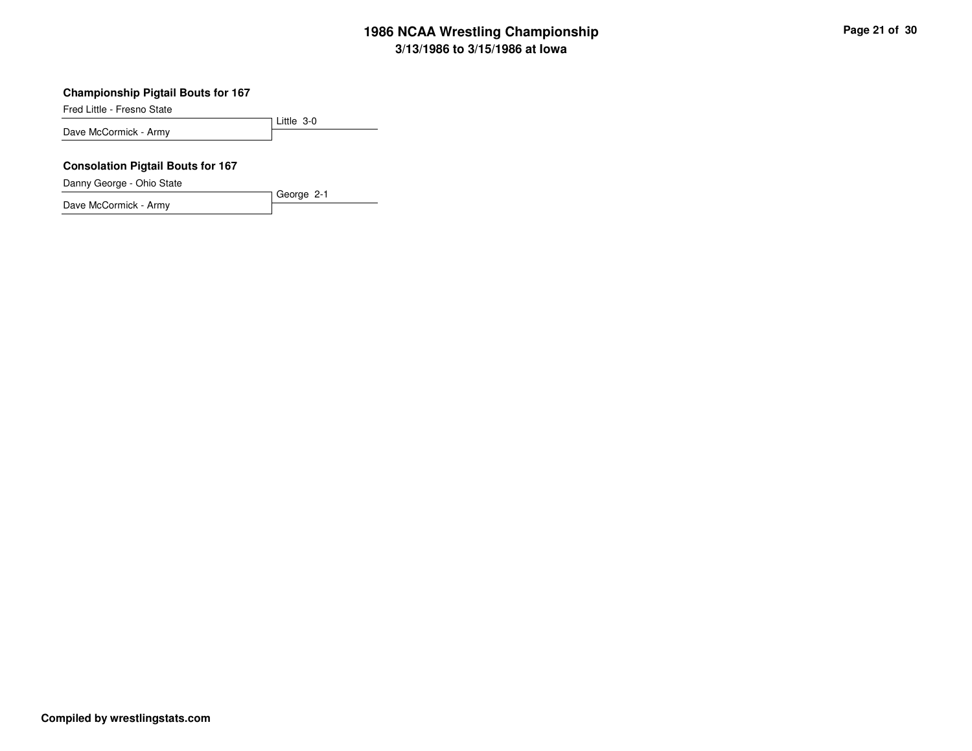#### **Championship Pigtail Bouts for 167**

Fred Little - Fresno State

Little 3-0Dave McCormick - Army

George 2-1

#### **Consolation Pigtail Bouts for 167**

Danny George - Ohio State

Dave McCormick - Army

**Compiled by wrestlingstats.com**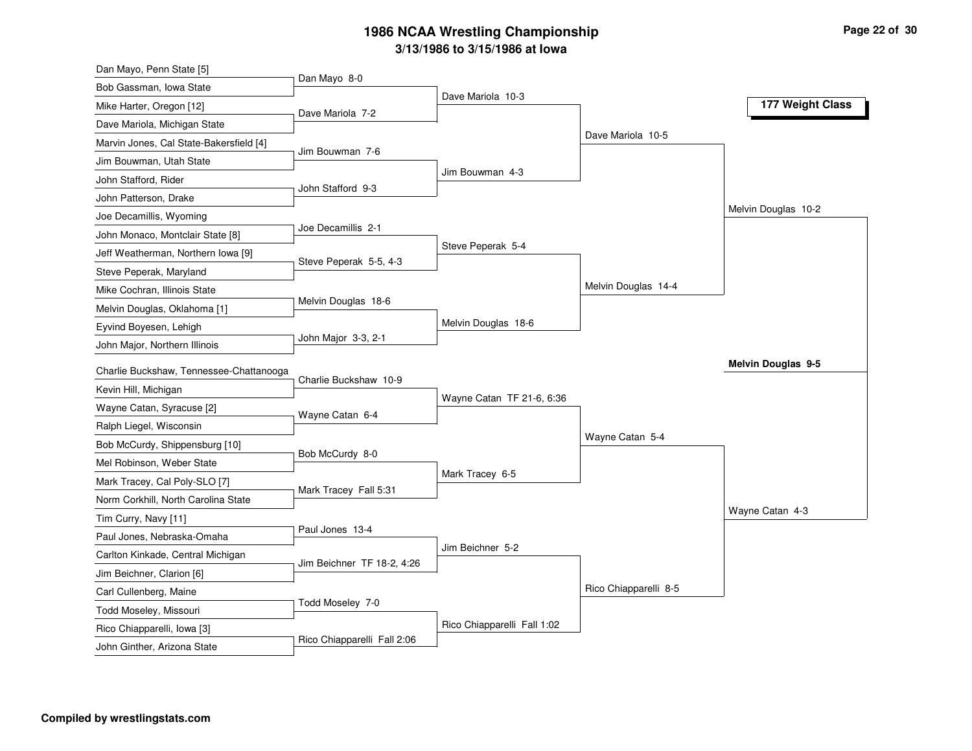| Dan Mayo, Penn State [5]                                   |                             |                             |                       |                           |
|------------------------------------------------------------|-----------------------------|-----------------------------|-----------------------|---------------------------|
| Bob Gassman, Iowa State                                    | Dan Mayo 8-0                |                             |                       |                           |
| Mike Harter, Oregon [12]                                   | Dave Mariola 7-2            | Dave Mariola 10-3           |                       | 177 Weight Class          |
| Dave Mariola, Michigan State                               |                             |                             |                       |                           |
| Marvin Jones, Cal State-Bakersfield [4]                    |                             |                             | Dave Mariola 10-5     |                           |
| Jim Bouwman, Utah State                                    | Jim Bouwman 7-6             |                             |                       |                           |
| John Stafford, Rider                                       |                             | Jim Bouwman 4-3             |                       |                           |
| John Patterson, Drake                                      | John Stafford 9-3           |                             |                       |                           |
| Joe Decamillis, Wyoming                                    |                             |                             |                       | Melvin Douglas 10-2       |
| John Monaco, Montclair State [8]                           | Joe Decamillis 2-1          |                             |                       |                           |
| Jeff Weatherman, Northern Iowa [9]                         |                             | Steve Peperak 5-4           |                       |                           |
| Steve Peperak, Maryland                                    | Steve Peperak 5-5, 4-3      |                             |                       |                           |
| Mike Cochran, Illinois State                               |                             |                             | Melvin Douglas 14-4   |                           |
| Melvin Douglas, Oklahoma [1]                               | Melvin Douglas 18-6         |                             |                       |                           |
| Eyvind Boyesen, Lehigh                                     |                             | Melvin Douglas 18-6         |                       |                           |
| John Major, Northern Illinois                              | John Major 3-3, 2-1         |                             |                       |                           |
| Charlie Buckshaw, Tennessee-Chattanooga                    |                             |                             |                       | <b>Melvin Douglas 9-5</b> |
| Kevin Hill, Michigan                                       | Charlie Buckshaw 10-9       |                             |                       |                           |
| Wayne Catan, Syracuse [2]                                  |                             | Wayne Catan TF 21-6, 6:36   |                       |                           |
|                                                            |                             |                             |                       |                           |
|                                                            | Wayne Catan 6-4             |                             |                       |                           |
| Ralph Liegel, Wisconsin                                    |                             |                             | Wayne Catan 5-4       |                           |
| Bob McCurdy, Shippensburg [10]                             | Bob McCurdy 8-0             |                             |                       |                           |
| Mel Robinson, Weber State                                  |                             | Mark Tracey 6-5             |                       |                           |
| Mark Tracey, Cal Poly-SLO [7]                              | Mark Tracey Fall 5:31       |                             |                       |                           |
| Norm Corkhill, North Carolina State                        |                             |                             |                       | Wayne Catan 4-3           |
| Tim Curry, Navy [11]                                       | Paul Jones 13-4             |                             |                       |                           |
| Paul Jones, Nebraska-Omaha                                 |                             | Jim Beichner 5-2            |                       |                           |
| Carlton Kinkade, Central Michigan                          | Jim Beichner TF 18-2, 4:26  |                             |                       |                           |
| Jim Beichner, Clarion [6]                                  |                             |                             |                       |                           |
| Carl Cullenberg, Maine                                     | Todd Moseley 7-0            |                             | Rico Chiapparelli 8-5 |                           |
| Todd Moseley, Missouri                                     |                             |                             |                       |                           |
| Rico Chiapparelli, Iowa [3]<br>John Ginther, Arizona State | Rico Chiapparelli Fall 2:06 | Rico Chiapparelli Fall 1:02 |                       |                           |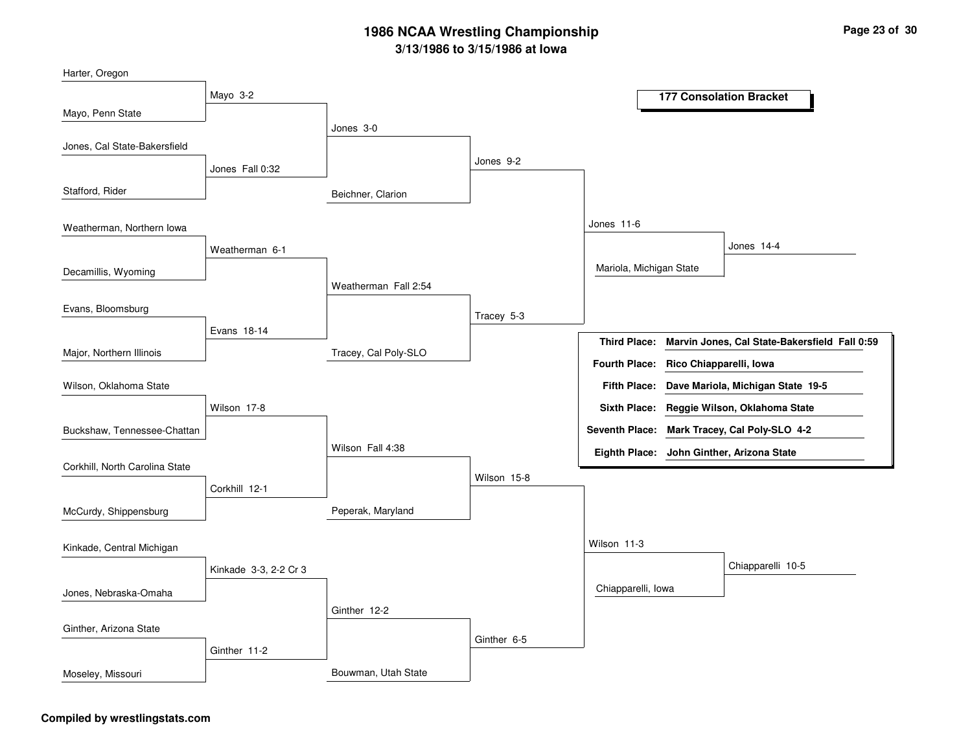Beichner, ClarionTracey, Cal Poly-SLOPeperak, MarylandBouwman, Utah StateJones 3-0Weatherman Fall 2:54Wilson Fall 4:38Ginther 12-2Jones 9-2Tracey 5-3Wilson 15-8Ginther 6-5Jones 11-6Wilson 11-3Mariola, Michigan StateChiapparelli, IowaJones 14-4Chiapparelli 10-5Mayo 3-2Jones Fall 0:32Weatherman 6-1Evans 18-14Wilson 17-8Corkhill 12-1Kinkade 3-3, 2-2 Cr 3Ginther 11-2Mayo, Penn StateStafford, RiderDecamillis, WyomingMajor, Northern IllinoisHarter, OregonJones, Cal State-BakersfieldWeatherman, Northern IowaEvans, BloomsburgBuckshaw, Tennessee-ChattanWilson, Oklahoma StateCorkhill, North Carolina StateMcCurdy, ShippensburgJones, Nebraska-OmahaKinkade, Central MichiganGinther, Arizona StateMoseley, Missouri**177 Consolation BracketMarvin Jones, Cal State-Bakersfield Fall 0:59Dave Mariola, Michigan State 19-5Fifth Place:Third Place:Seventh Place: Mark Tracey, Cal Poly-SLO 4-2Eighth Place: John Ginther, Arizona StateFourth Place: Rico Chiapparelli, IowaSixth Place: Reggie Wilson, Oklahoma State**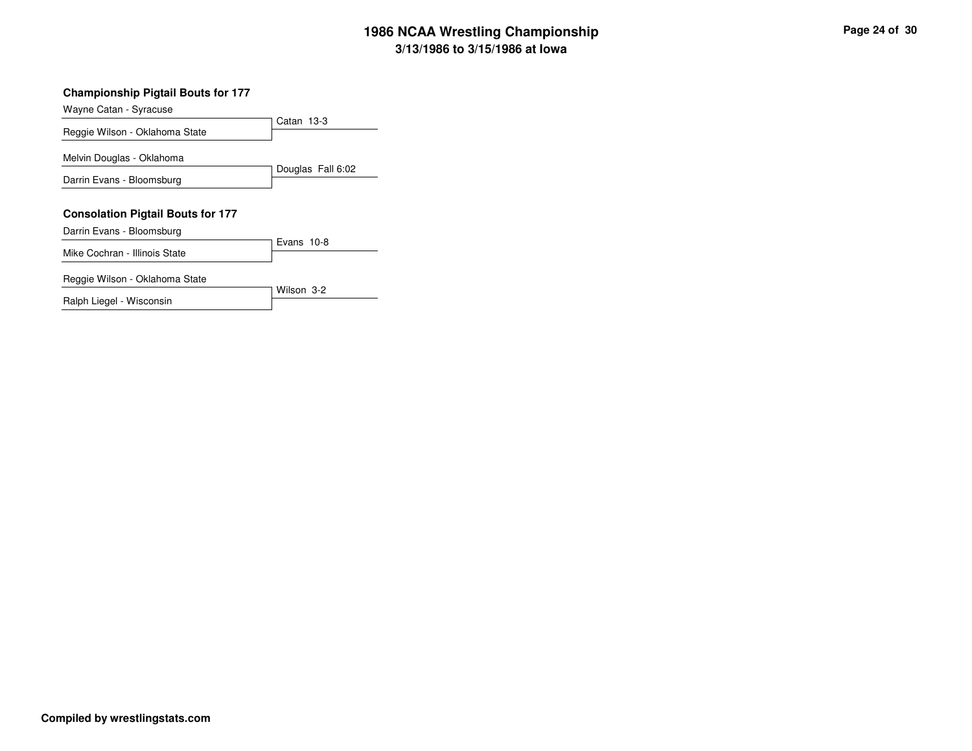| <b>Championship Pigtail Bouts for 177</b> |                   |
|-------------------------------------------|-------------------|
| Wayne Catan - Syracuse                    |                   |
| Reggie Wilson - Oklahoma State            | Catan 13-3        |
| Melvin Douglas - Oklahoma                 |                   |
| Darrin Evans - Bloomsburg                 | Douglas Fall 6:02 |
| <b>Consolation Pigtail Bouts for 177</b>  |                   |
| Darrin Evans - Bloomsburg                 | Evans 10-8        |
| Mike Cochran - Illinois State             |                   |
| Reggie Wilson - Oklahoma State            | Wilson 3-2        |
| Ralph Liegel - Wisconsin                  |                   |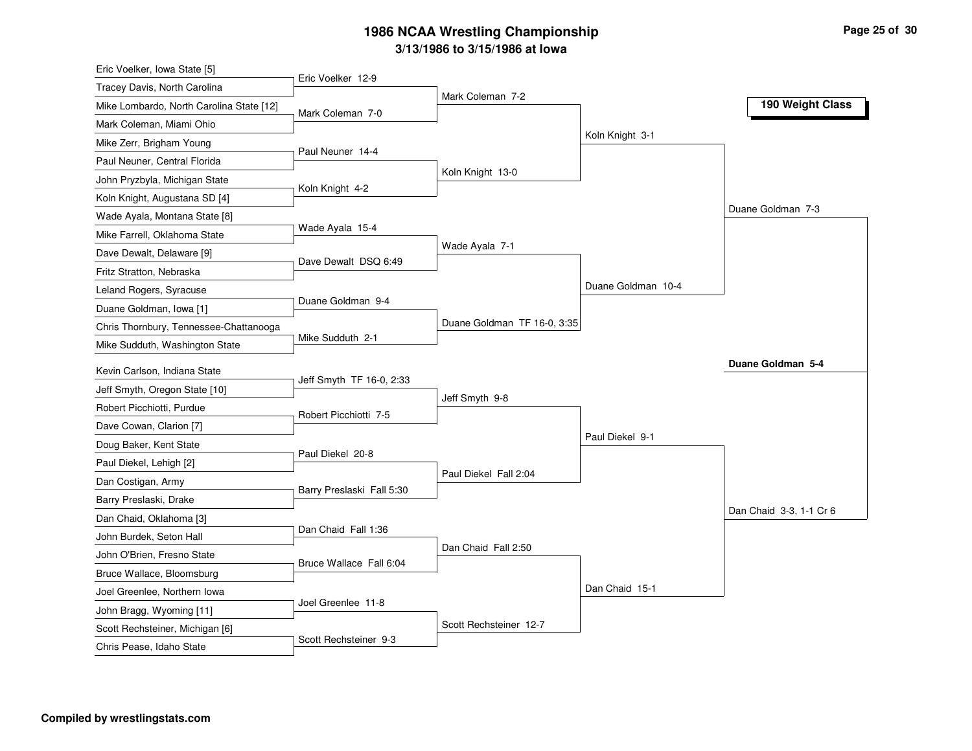| Eric Voelker, Iowa State [5]             |                           |                             |                    |                         |
|------------------------------------------|---------------------------|-----------------------------|--------------------|-------------------------|
| Tracey Davis, North Carolina             | Eric Voelker 12-9         |                             |                    |                         |
| Mike Lombardo, North Carolina State [12] | Mark Coleman 7-0          | Mark Coleman 7-2            |                    | 190 Weight Class        |
| Mark Coleman, Miami Ohio                 |                           |                             |                    |                         |
| Mike Zerr, Brigham Young                 |                           |                             | Koln Knight 3-1    |                         |
| Paul Neuner, Central Florida             | Paul Neuner 14-4          |                             |                    |                         |
| John Pryzbyla, Michigan State            |                           | Koln Knight 13-0            |                    |                         |
| Koln Knight, Augustana SD [4]            | Koln Knight 4-2           |                             |                    |                         |
| Wade Ayala, Montana State [8]            |                           |                             |                    | Duane Goldman 7-3       |
| Mike Farrell, Oklahoma State             | Wade Ayala 15-4           |                             |                    |                         |
| Dave Dewalt, Delaware [9]                | Dave Dewalt DSQ 6:49      | Wade Ayala 7-1              |                    |                         |
| Fritz Stratton, Nebraska                 |                           |                             |                    |                         |
| Leland Rogers, Syracuse                  |                           |                             | Duane Goldman 10-4 |                         |
| Duane Goldman, Iowa [1]                  | Duane Goldman 9-4         |                             |                    |                         |
| Chris Thornbury, Tennessee-Chattanooga   |                           | Duane Goldman TF 16-0, 3:35 |                    |                         |
| Mike Sudduth, Washington State           | Mike Sudduth 2-1          |                             |                    |                         |
| Kevin Carlson, Indiana State             |                           |                             |                    | Duane Goldman 5-4       |
| Jeff Smyth, Oregon State [10]            | Jeff Smyth TF 16-0, 2:33  |                             |                    |                         |
| Robert Picchiotti, Purdue                |                           | Jeff Smyth 9-8              |                    |                         |
| Dave Cowan, Clarion [7]                  | Robert Picchiotti 7-5     |                             |                    |                         |
| Doug Baker, Kent State                   |                           |                             | Paul Diekel 9-1    |                         |
| Paul Diekel, Lehigh [2]                  | Paul Diekel 20-8          |                             |                    |                         |
| Dan Costigan, Army                       |                           | Paul Diekel Fall 2:04       |                    |                         |
| Barry Preslaski, Drake                   | Barry Preslaski Fall 5:30 |                             |                    |                         |
| Dan Chaid, Oklahoma [3]                  |                           |                             |                    | Dan Chaid 3-3, 1-1 Cr 6 |
| John Burdek, Seton Hall                  | Dan Chaid Fall 1:36       |                             |                    |                         |
| John O'Brien, Fresno State               |                           | Dan Chaid Fall 2:50         |                    |                         |
| Bruce Wallace, Bloomsburg                | Bruce Wallace Fall 6:04   |                             |                    |                         |
| Joel Greenlee, Northern Iowa             |                           |                             | Dan Chaid 15-1     |                         |
| John Bragg, Wyoming [11]                 | Joel Greenlee 11-8        |                             |                    |                         |
|                                          |                           |                             |                    |                         |
| Scott Rechsteiner, Michigan [6]          |                           | Scott Rechsteiner 12-7      |                    |                         |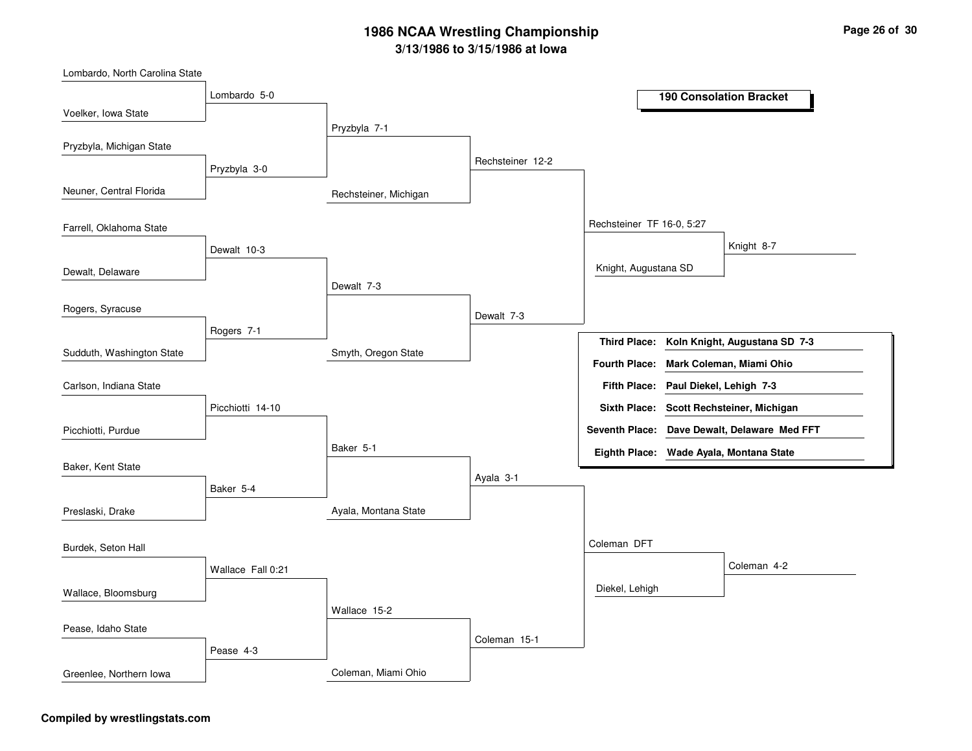Rechsteiner, MichiganSmyth, Oregon StateAyala, Montana StateColeman, Miami OhioPryzbyla 7-1Dewalt 7-3Baker 5-1Wallace 15-2Rechsteiner 12-2Dewalt 7-3Ayala 3-1Coleman 15-1Rechsteiner TF 16-0, 5:27Coleman DFTKnight, Augustana SDDiekel, LehighKnight 8-7Coleman 4-2Lombardo 5-0Pryzbyla 3-0Dewalt 10-3Rogers 7-1Picchiotti 14-10Baker 5-4Wallace Fall 0:21Pease 4-3Voelker, Iowa StateNeuner, Central FloridaDewalt, DelawareSudduth, Washington StateLombardo, North Carolina StatePryzbyla, Michigan StateFarrell, Oklahoma StateRogers, SyracusePicchiotti, PurdueCarlson, Indiana StateBaker, Kent StatePreslaski, DrakeWallace, BloomsburgBurdek, Seton HallPease, Idaho StateGreenlee, Northern Iowa**190 Consolation BracketKoln Knight, Augustana SD 7-3Third Place:Paul Diekel, Lehigh 7-3Fifth Place:Seventh Place: Dave Dewalt, Delaware Med FFTEighth Place: Wade Ayala, Montana StateFourth Place: Mark Coleman, Miami OhioSixth Place: Scott Rechsteiner, Michigan**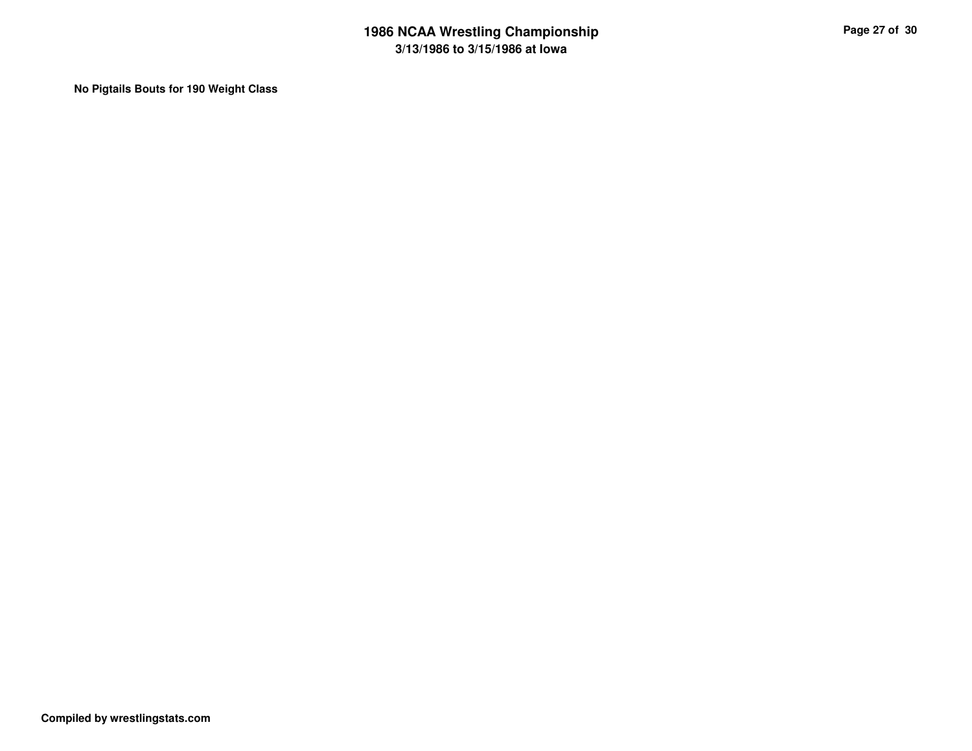**No Pigtails Bouts for 190 Weight Class**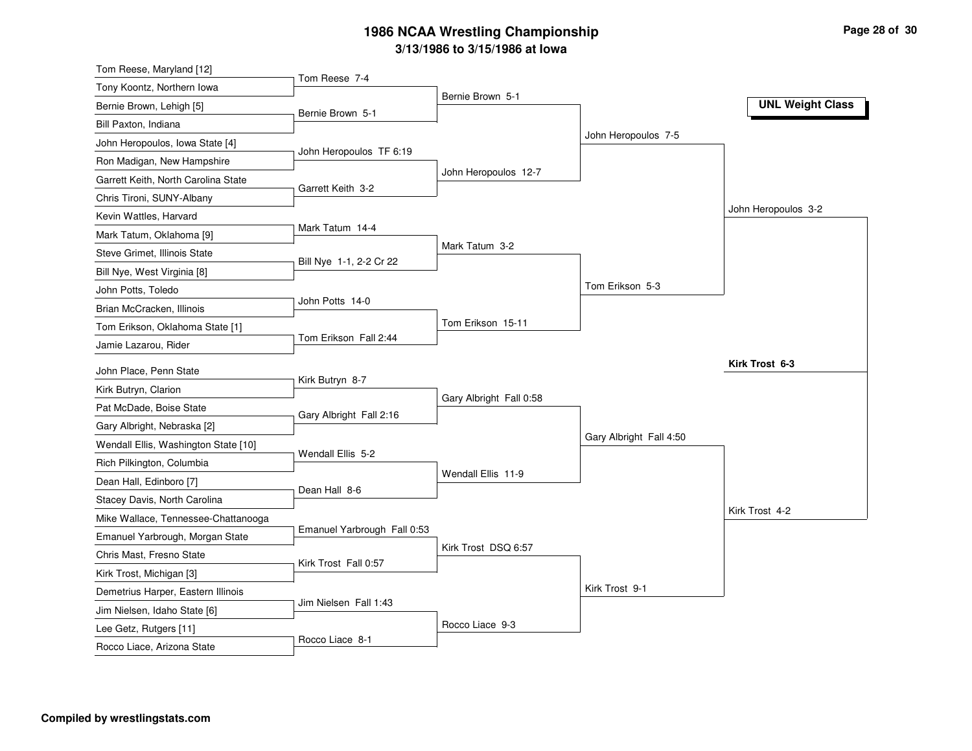| Tom Reese, Maryland [12]                                            |                             |                         |                         |                         |
|---------------------------------------------------------------------|-----------------------------|-------------------------|-------------------------|-------------------------|
| Tony Koontz, Northern Iowa                                          | Tom Reese 7-4               |                         |                         |                         |
| Bernie Brown, Lehigh [5]                                            | Bernie Brown 5-1            | Bernie Brown 5-1        |                         | <b>UNL Weight Class</b> |
| Bill Paxton, Indiana                                                |                             |                         |                         |                         |
| John Heropoulos, Iowa State [4]                                     |                             |                         | John Heropoulos 7-5     |                         |
| Ron Madigan, New Hampshire                                          | John Heropoulos TF 6:19     |                         |                         |                         |
| Garrett Keith, North Carolina State                                 |                             | John Heropoulos 12-7    |                         |                         |
| Chris Tironi, SUNY-Albany                                           | Garrett Keith 3-2           |                         |                         |                         |
| Kevin Wattles, Harvard                                              |                             |                         |                         | John Heropoulos 3-2     |
| Mark Tatum, Oklahoma [9]                                            | Mark Tatum 14-4             |                         |                         |                         |
| Steve Grimet, Illinois State                                        |                             | Mark Tatum 3-2          |                         |                         |
| Bill Nye, West Virginia [8]                                         | Bill Nye 1-1, 2-2 Cr 22     |                         |                         |                         |
| John Potts, Toledo                                                  |                             |                         | Tom Erikson 5-3         |                         |
| Brian McCracken, Illinois                                           | John Potts 14-0             |                         |                         |                         |
| Tom Erikson, Oklahoma State [1]                                     |                             | Tom Erikson 15-11       |                         |                         |
| Jamie Lazarou, Rider                                                | Tom Erikson Fall 2:44       |                         |                         |                         |
|                                                                     |                             |                         |                         | Kirk Trost 6-3          |
| John Place, Penn State<br>Kirk Butryn, Clarion                      | Kirk Butryn 8-7             |                         |                         |                         |
| Pat McDade, Boise State                                             |                             | Gary Albright Fall 0:58 |                         |                         |
|                                                                     | Gary Albright Fall 2:16     |                         |                         |                         |
| Gary Albright, Nebraska [2]<br>Wendall Ellis, Washington State [10] |                             |                         | Gary Albright Fall 4:50 |                         |
|                                                                     | Wendall Ellis 5-2           |                         |                         |                         |
| Rich Pilkington, Columbia                                           |                             | Wendall Ellis 11-9      |                         |                         |
| Dean Hall, Edinboro [7]                                             | Dean Hall 8-6               |                         |                         |                         |
| Stacey Davis, North Carolina                                        |                             |                         |                         | Kirk Trost 4-2          |
| Mike Wallace, Tennessee-Chattanooga                                 | Emanuel Yarbrough Fall 0:53 |                         |                         |                         |
| Emanuel Yarbrough, Morgan State                                     |                             | Kirk Trost DSQ 6:57     |                         |                         |
| Chris Mast, Fresno State                                            | Kirk Trost Fall 0:57        |                         |                         |                         |
| Kirk Trost, Michigan [3]                                            |                             |                         | Kirk Trost 9-1          |                         |
| Demetrius Harper, Eastern Illinois                                  | Jim Nielsen Fall 1:43       |                         |                         |                         |
| Jim Nielsen, Idaho State [6]                                        |                             | Rocco Liace 9-3         |                         |                         |
| Lee Getz, Rutgers [11]                                              | Rocco Liace 8-1             |                         |                         |                         |
| Rocco Liace, Arizona State                                          |                             |                         |                         |                         |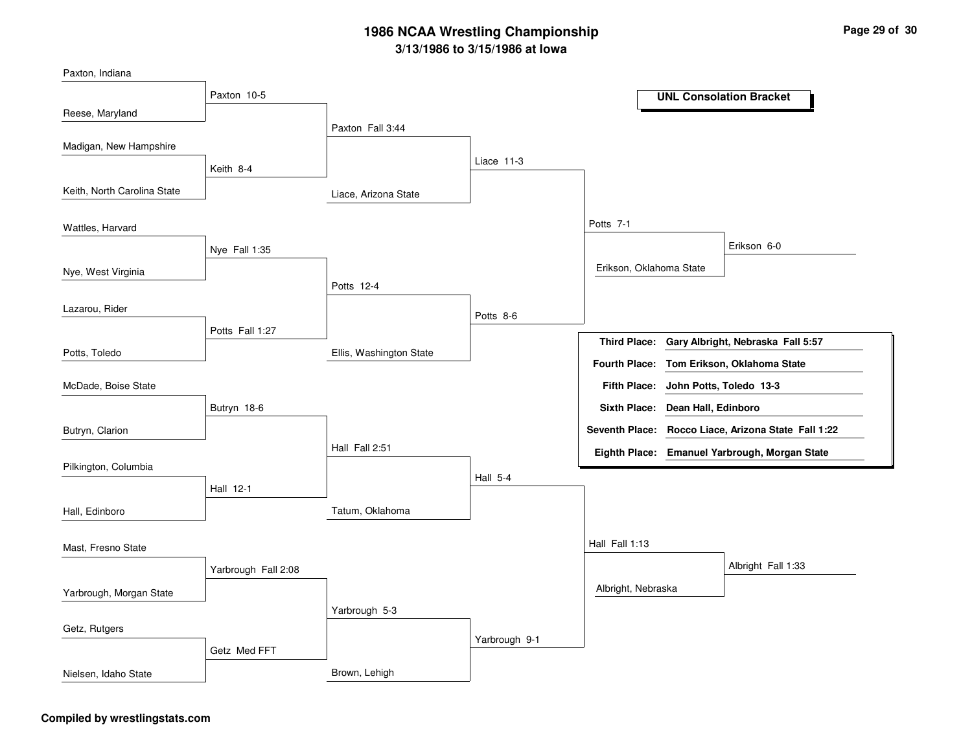Liace, Arizona StateEllis, Washington StateTatum, OklahomaBrown, LehighPaxton Fall 3:44Potts 12-4 Hall Fall 2:51Yarbrough 5-3Liace 11-3Potts 8-6Hall 5-4Yarbrough 9-1Potts 7-1 Hall Fall 1:13Erikson, Oklahoma StateAlbright, NebraskaErikson 6-0Albright Fall 1:33Paxton 10-5Keith 8-4Nye Fall 1:35Potts Fall 1:27Butryn 18-6Hall 12-1Yarbrough Fall 2:08Getz Med FFTReese, MarylandKeith, North Carolina StateNye, West VirginiaPotts, ToledoPaxton, IndianaMadigan, New HampshireWattles, HarvardLazarou, RiderButryn, ClarionMcDade, Boise StatePilkington, ColumbiaHall, EdinboroYarbrough, Morgan StateMast, Fresno StateGetz, RutgersNielsen, Idaho State**UNL Consolation BracketGary Albright, Nebraska Fall 5:57John Potts, Toledo 13-3Fifth Place:Third Place:Seventh Place: Rocco Liace, Arizona State Fall 1:22Eighth Place: Emanuel Yarbrough, Morgan StateFourth Place: Tom Erikson, Oklahoma StateSixth Place: Dean Hall, Edinboro**